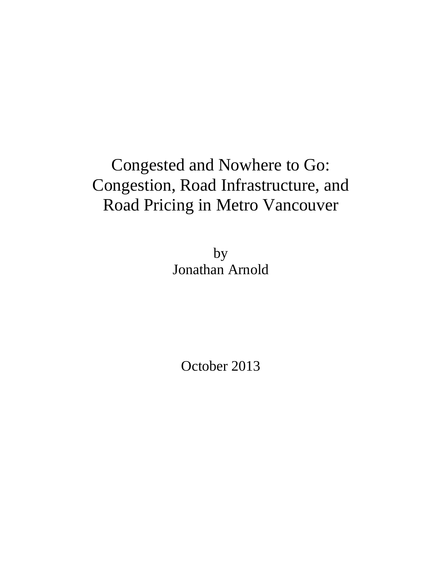# Congested and Nowhere to Go: Congestion, Road Infrastructure, and Road Pricing in Metro Vancouver

by Jonathan Arnold

October 2013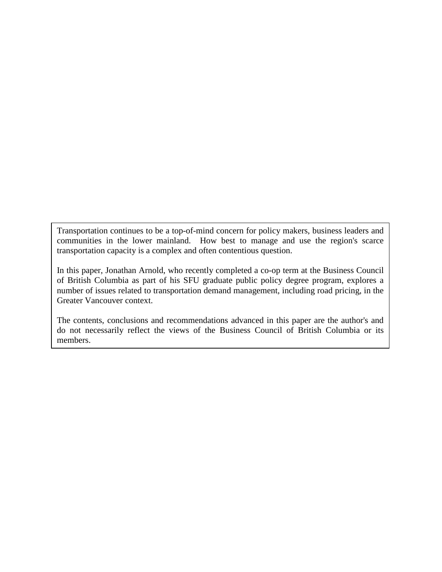Transportation continues to be a top-of-mind concern for policy makers, business leaders and communities in the lower mainland. How best to manage and use the region's scarce transportation capacity is a complex and often contentious question.

In this paper, Jonathan Arnold, who recently completed a co-op term at the Business Council of British Columbia as part of his SFU graduate public policy degree program, explores a number of issues related to transportation demand management, including road pricing, in the Greater Vancouver context.

The contents, conclusions and recommendations advanced in this paper are the author's and do not necessarily reflect the views of the Business Council of British Columbia or its members.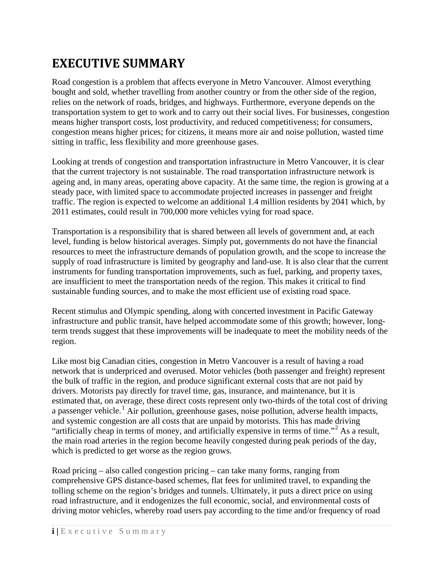# <span id="page-2-0"></span>**EXECUTIVE SUMMARY**

Road congestion is a problem that affects everyone in Metro Vancouver. Almost everything bought and sold, whether travelling from another country or from the other side of the region, relies on the network of roads, bridges, and highways. Furthermore, everyone depends on the transportation system to get to work and to carry out their social lives. For businesses, congestion means higher transport costs, lost productivity, and reduced competitiveness; for consumers, congestion means higher prices; for citizens, it means more air and noise pollution, wasted time sitting in traffic, less flexibility and more greenhouse gases.

Looking at trends of congestion and transportation infrastructure in Metro Vancouver, it is clear that the current trajectory is not sustainable. The road transportation infrastructure network is ageing and, in many areas, operating above capacity. At the same time, the region is growing at a steady pace, with limited space to accommodate projected increases in passenger and freight traffic. The region is expected to welcome an additional 1.4 million residents by 2041 which, by 2011 estimates, could result in 700,000 more vehicles vying for road space.

Transportation is a responsibility that is shared between all levels of government and, at each level, funding is below historical averages. Simply put, governments do not have the financial resources to meet the infrastructure demands of population growth, and the scope to increase the supply of road infrastructure is limited by geography and land-use. It is also clear that the current instruments for funding transportation improvements, such as fuel, parking, and property taxes, are insufficient to meet the transportation needs of the region. This makes it critical to find sustainable funding sources, and to make the most efficient use of existing road space.

Recent stimulus and Olympic spending, along with concerted investment in Pacific Gateway infrastructure and public transit, have helped accommodate some of this growth; however, longterm trends suggest that these improvements will be inadequate to meet the mobility needs of the region.

Like most big Canadian cities, congestion in Metro Vancouver is a result of having a road network that is underpriced and overused. Motor vehicles (both passenger and freight) represent the bulk of traffic in the region, and produce significant external costs that are not paid by drivers. Motorists pay directly for travel time, gas, insurance, and maintenance, but it is estimated that, on average, these direct costs represent only two-thirds of the total cost of driving a passenger vehicle.<sup>[1](#page-53-0)</sup> Air pollution, greenhouse gases, noise pollution, adverse health impacts, and systemic congestion are all costs that are unpaid by motorists. This has made driving "artificially cheap in terms of money, and artificially expensive in terms of time."<sup>[2](#page-53-1)</sup> As a result, the main road arteries in the region become heavily congested during peak periods of the day, which is predicted to get worse as the region grows.

Road pricing – also called congestion pricing – can take many forms, ranging from comprehensive GPS distance-based schemes, flat fees for unlimited travel, to expanding the tolling scheme on the region's bridges and tunnels. Ultimately, it puts a direct price on using road infrastructure, and it endogenizes the full economic, social, and environmental costs of driving motor vehicles, whereby road users pay according to the time and/or frequency of road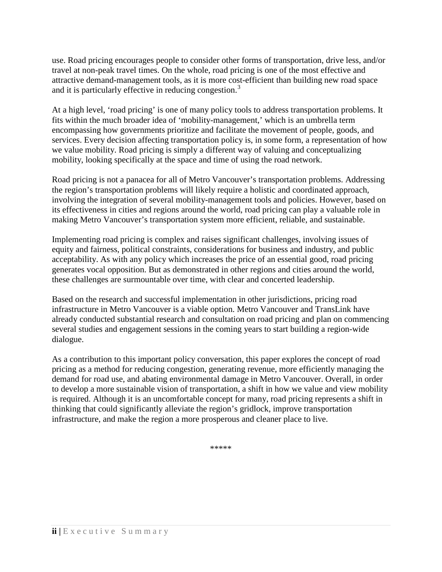use. Road pricing encourages people to consider other forms of transportation, drive less, and/or travel at non-peak travel times. On the whole, road pricing is one of the most effective and attractive demand-management tools, as it is more cost-efficient than building new road space and it is particularly effective in reducing congestion.<sup>[3](#page-54-0)</sup>

At a high level, 'road pricing' is one of many policy tools to address transportation problems. It fits within the much broader idea of 'mobility-management,' which is an umbrella term encompassing how governments prioritize and facilitate the movement of people, goods, and services. Every decision affecting transportation policy is, in some form, a representation of how we value mobility. Road pricing is simply a different way of valuing and conceptualizing mobility, looking specifically at the space and time of using the road network.

Road pricing is not a panacea for all of Metro Vancouver's transportation problems. Addressing the region's transportation problems will likely require a holistic and coordinated approach, involving the integration of several mobility-management tools and policies. However, based on its effectiveness in cities and regions around the world, road pricing can play a valuable role in making Metro Vancouver's transportation system more efficient, reliable, and sustainable.

Implementing road pricing is complex and raises significant challenges, involving issues of equity and fairness, political constraints, considerations for business and industry, and public acceptability. As with any policy which increases the price of an essential good, road pricing generates vocal opposition. But as demonstrated in other regions and cities around the world, these challenges are surmountable over time, with clear and concerted leadership.

Based on the research and successful implementation in other jurisdictions, pricing road infrastructure in Metro Vancouver is a viable option. Metro Vancouver and TransLink have already conducted substantial research and consultation on road pricing and plan on commencing several studies and engagement sessions in the coming years to start building a region-wide dialogue.

As a contribution to this important policy conversation, this paper explores the concept of road pricing as a method for reducing congestion, generating revenue, more efficiently managing the demand for road use, and abating environmental damage in Metro Vancouver. Overall, in order to develop a more sustainable vision of transportation, a shift in how we value and view mobility is required. Although it is an uncomfortable concept for many, road pricing represents a shift in thinking that could significantly alleviate the region's gridlock, improve transportation infrastructure, and make the region a more prosperous and cleaner place to live.

\*\*\*\*\*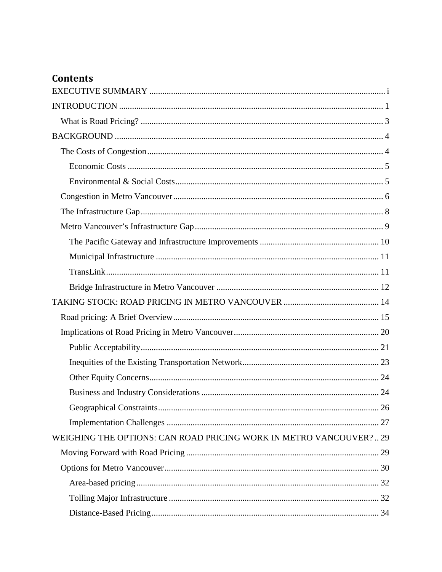## **Contents**

| WEIGHING THE OPTIONS: CAN ROAD PRICING WORK IN METRO VANCOUVER? 29 |
|--------------------------------------------------------------------|
|                                                                    |
|                                                                    |
|                                                                    |
|                                                                    |
|                                                                    |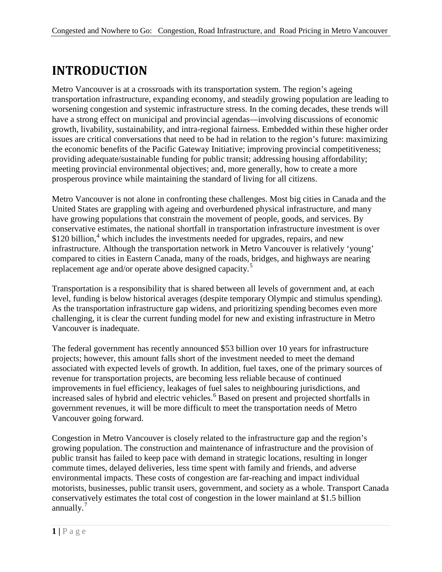# <span id="page-6-0"></span>**INTRODUCTION**

Metro Vancouver is at a crossroads with its transportation system. The region's ageing transportation infrastructure, expanding economy, and steadily growing population are leading to worsening congestion and systemic infrastructure stress. In the coming decades, these trends will have a strong effect on municipal and provincial agendas—involving discussions of economic growth, livability, sustainability, and intra-regional fairness. Embedded within these higher order issues are critical conversations that need to be had in relation to the region's future: maximizing the economic benefits of the Pacific Gateway Initiative; improving provincial competitiveness; providing adequate/sustainable funding for public transit; addressing housing affordability; meeting provincial environmental objectives; and, more generally, how to create a more prosperous province while maintaining the standard of living for all citizens.

Metro Vancouver is not alone in confronting these challenges. Most big cities in Canada and the United States are grappling with ageing and overburdened physical infrastructure, and many have growing populations that constrain the movement of people, goods, and services. By conservative estimates, the national shortfall in transportation infrastructure investment is over \$120 billion,<sup>[4](#page-54-1)</sup> which includes the investments needed for upgrades, repairs, and new infrastructure. Although the transportation network in Metro Vancouver is relatively 'young' compared to cities in Eastern Canada, many of the roads, bridges, and highways are nearing replacement age and/or operate above designed capacity.<sup>[5](#page-54-2)</sup>

Transportation is a responsibility that is shared between all levels of government and, at each level, funding is below historical averages (despite temporary Olympic and stimulus spending). As the transportation infrastructure gap widens, and prioritizing spending becomes even more challenging, it is clear the current funding model for new and existing infrastructure in Metro Vancouver is inadequate.

The federal government has recently announced \$53 billion over 10 years for infrastructure projects; however, this amount falls short of the investment needed to meet the demand associated with expected levels of growth. In addition, fuel taxes, one of the primary sources of revenue for transportation projects, are becoming less reliable because of continued improvements in fuel efficiency, leakages of fuel sales to neighbouring jurisdictions, and increased sales of hybrid and electric vehicles.<sup>[6](#page-54-3)</sup> Based on present and projected shortfalls in government revenues, it will be more difficult to meet the transportation needs of Metro Vancouver going forward.

Congestion in Metro Vancouver is closely related to the infrastructure gap and the region's growing population. The construction and maintenance of infrastructure and the provision of public transit has failed to keep pace with demand in strategic locations, resulting in longer commute times, delayed deliveries, less time spent with family and friends, and adverse environmental impacts. These costs of congestion are far-reaching and impact individual motorists, businesses, public transit users, government, and society as a whole. Transport Canada conservatively estimates the total cost of congestion in the lower mainland at \$1.5 billion annually.<sup>[7](#page-54-4)</sup>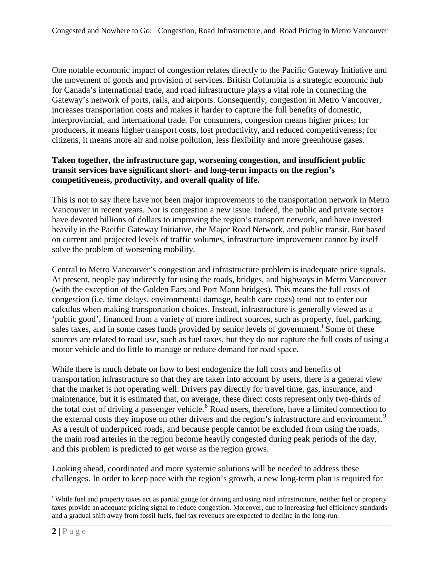One notable economic impact of congestion relates directly to the Pacific Gateway Initiative and the movement of goods and provision of services. British Columbia is a strategic economic hub for Canada's international trade, and road infrastructure plays a vital role in connecting the Gateway's network of ports, rails, and airports. Consequently, congestion in Metro Vancouver, increases transportation costs and makes it harder to capture the full benefits of domestic, interprovincial, and international trade. For consumers, congestion means higher prices; for producers, it means higher transport costs, lost productivity, and reduced competitiveness; for citizens, it means more air and noise pollution, less flexibility and more greenhouse gases.

#### **Taken together, the infrastructure gap, worsening congestion, and insufficient public transit services have significant short- and long-term impacts on the region's competitiveness, productivity, and overall quality of life.**

This is not to say there have not been major improvements to the transportation network in Metro Vancouver in recent years. Nor is congestion a new issue. Indeed, the public and private sectors have devoted billions of dollars to improving the region's transport network, and have invested heavily in the Pacific Gateway Initiative, the Major Road Network, and public transit. But based on current and projected levels of traffic volumes, infrastructure improvement cannot by itself solve the problem of worsening mobility.

Central to Metro Vancouver's congestion and infrastructure problem is inadequate price signals. At present, people pay indirectly for using the roads, bridges, and highways in Metro Vancouver (with the exception of the Golden Ears and Port Mann bridges). This means the full costs of congestion (i.e. time delays, environmental damage, health care costs) tend not to enter our calculus when making transportation choices. Instead, infrastructure is generally viewed as a 'public good', financed from a variety of more indirect sources, such as property, fuel, parking, sales taxes, and [i](#page-7-0)n some cases funds provided by senior levels of government.<sup>i</sup> Some of these sources are related to road use, such as fuel taxes, but they do not capture the full costs of using a motor vehicle and do little to manage or reduce demand for road space.

While there is much debate on how to best endogenize the full costs and benefits of transportation infrastructure so that they are taken into account by users, there is a general view that the market is not operating well. Drivers pay directly for travel time, gas, insurance, and maintenance, but it is estimated that, on average, these direct costs represent only two-thirds of the total cost of driving a passenger vehicle.<sup>[8](#page-55-0)</sup> Road users, therefore, have a limited connection to the external costs they impose on other drivers and the region's infrastructure and environment.<sup>[9](#page-55-1)</sup> As a result of underpriced roads, and because people cannot be excluded from using the roads, the main road arteries in the region become heavily congested during peak periods of the day, and this problem is predicted to get worse as the region grows.

Looking ahead, coordinated and more systemic solutions will be needed to address these challenges. In order to keep pace with the region's growth, a new long-term plan is required for

<span id="page-7-0"></span>i <sup>i</sup> While fuel and property taxes act as partial gauge for driving and using road infrastructure, neither fuel or property taxes provide an adequate pricing signal to reduce congestion. Moreover, due to increasing fuel efficiency standards and a gradual shift away from fossil fuels, fuel tax revenues are expected to decline in the long-run.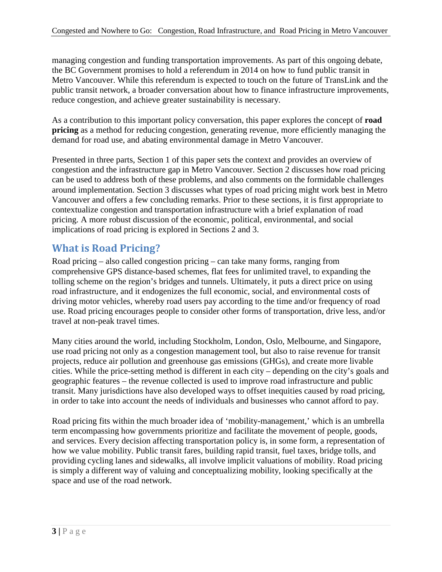managing congestion and funding transportation improvements. As part of this ongoing debate, the BC Government promises to hold a referendum in 2014 on how to fund public transit in Metro Vancouver. While this referendum is expected to touch on the future of TransLink and the public transit network, a broader conversation about how to finance infrastructure improvements, reduce congestion, and achieve greater sustainability is necessary.

As a contribution to this important policy conversation, this paper explores the concept of **road pricing** as a method for reducing congestion, generating revenue, more efficiently managing the demand for road use, and abating environmental damage in Metro Vancouver.

Presented in three parts, Section 1 of this paper sets the context and provides an overview of congestion and the infrastructure gap in Metro Vancouver. Section 2 discusses how road pricing can be used to address both of these problems, and also comments on the formidable challenges around implementation. Section 3 discusses what types of road pricing might work best in Metro Vancouver and offers a few concluding remarks. Prior to these sections, it is first appropriate to contextualize congestion and transportation infrastructure with a brief explanation of road pricing. A more robust discussion of the economic, political, environmental, and social implications of road pricing is explored in Sections 2 and 3.

## <span id="page-8-0"></span>**What is Road Pricing?**

Road pricing – also called congestion pricing – can take many forms, ranging from comprehensive GPS distance-based schemes, flat fees for unlimited travel, to expanding the tolling scheme on the region's bridges and tunnels. Ultimately, it puts a direct price on using road infrastructure, and it endogenizes the full economic, social, and environmental costs of driving motor vehicles, whereby road users pay according to the time and/or frequency of road use. Road pricing encourages people to consider other forms of transportation, drive less, and/or travel at non-peak travel times.

Many cities around the world, including Stockholm, London, Oslo, Melbourne, and Singapore, use road pricing not only as a congestion management tool, but also to raise revenue for transit projects, reduce air pollution and greenhouse gas emissions (GHGs), and create more livable cities. While the price-setting method is different in each city – depending on the city's goals and geographic features – the revenue collected is used to improve road infrastructure and public transit. Many jurisdictions have also developed ways to offset inequities caused by road pricing, in order to take into account the needs of individuals and businesses who cannot afford to pay.

Road pricing fits within the much broader idea of 'mobility-management,' which is an umbrella term encompassing how governments prioritize and facilitate the movement of people, goods, and services. Every decision affecting transportation policy is, in some form, a representation of how we value mobility. Public transit fares, building rapid transit, fuel taxes, bridge tolls, and providing cycling lanes and sidewalks, all involve implicit valuations of mobility. Road pricing is simply a different way of valuing and conceptualizing mobility, looking specifically at the space and use of the road network.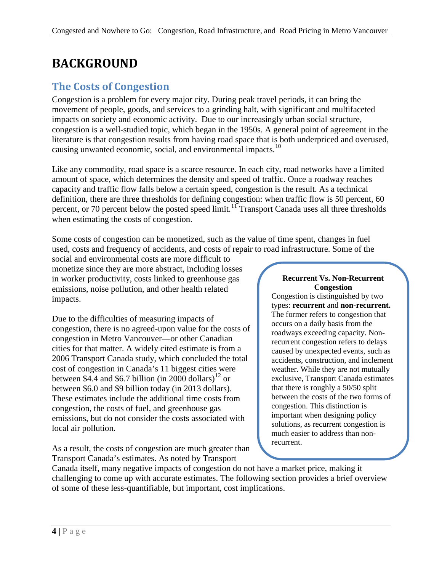# <span id="page-9-0"></span>**BACKGROUND**

## <span id="page-9-1"></span>**The Costs of Congestion**

Congestion is a problem for every major city. During peak travel periods, it can bring the movement of people, goods, and services to a grinding halt, with significant and multifaceted impacts on society and economic activity. Due to our increasingly urban social structure, congestion is a well-studied topic, which began in the 1950s. A general point of agreement in the literature is that congestion results from having road space that is both underpriced and overused, causing unwanted economic, social, and environmental impacts.<sup>[10](#page-56-0)</sup>

Like any commodity, road space is a scarce resource. In each city, road networks have a limited amount of space, which determines the density and speed of traffic. Once a roadway reaches capacity and traffic flow falls below a certain speed, congestion is the result. As a technical definition, there are three thresholds for defining congestion: when traffic flow is 50 percent, 60 percent, or 70 percent below the posted speed limit.<sup>[11](#page-56-1)</sup> Transport Canada uses all three thresholds when estimating the costs of congestion.

Some costs of congestion can be monetized, such as the value of time spent, changes in fuel used, costs and frequency of accidents, and costs of repair to road infrastructure. Some of the

social and environmental costs are more difficult to monetize since they are more abstract, including losses in worker productivity, costs linked to greenhouse gas emissions, noise pollution, and other health related impacts.

Due to the difficulties of measuring impacts of congestion, there is no agreed-upon value for the costs of congestion in Metro Vancouver—or other Canadian cities for that matter. A widely cited estimate is from a 2006 Transport Canada study, which concluded the total cost of congestion in Canada's 11 biggest cities were between \$4.4 and \$6.7 billion (in 2000 dollars)<sup>[12](#page-56-2)</sup> or between \$6.0 and \$9 billion today (in 2013 dollars). These estimates include the additional time costs from congestion, the costs of fuel, and greenhouse gas emissions, but do not consider the costs associated with local air pollution.

As a result, the costs of congestion are much greater than Transport Canada's estimates. As noted by Transport

#### **Recurrent Vs. Non-Recurrent Congestion**

Congestion is distinguished by two types: **recurrent** and **non-recurrent.** The former refers to congestion that occurs on a daily basis from the roadways exceeding capacity. Nonrecurrent congestion refers to delays caused by unexpected events, such as accidents, construction, and inclement weather. While they are not mutually exclusive, Transport Canada estimates that there is roughly a 50/50 split between the costs of the two forms of congestion. This distinction is important when designing policy solutions, as recurrent congestion is much easier to address than nonrecurrent.

Canada itself, many negative impacts of congestion do not have a market price, making it challenging to come up with accurate estimates. The following section provides a brief overview of some of these less-quantifiable, but important, cost implications.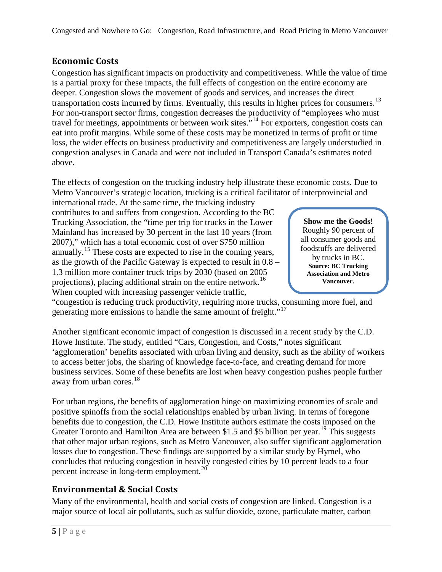### <span id="page-10-0"></span>**Economic Costs**

Congestion has significant impacts on productivity and competitiveness. While the value of time is a partial proxy for these impacts, the full effects of congestion on the entire economy are deeper. Congestion slows the movement of goods and services, and increases the direct transportation costs incurred by firms. Eventually, this results in higher prices for consumers.<sup>[13](#page-57-0)</sup> For non-transport sector firms, congestion decreases the productivity of "employees who must travel for meetings, appointments or between work sites."[14](#page-57-1) For exporters, congestion costs can eat into profit margins. While some of these costs may be monetized in terms of profit or time loss, the wider effects on business productivity and competitiveness are largely understudied in congestion analyses in Canada and were not included in Transport Canada's estimates noted above.

The effects of congestion on the trucking industry help illustrate these economic costs. Due to Metro Vancouver's strategic location, trucking is a critical facilitator of interprovincial and

international trade. At the same time, the trucking industry contributes to and suffers from congestion. According to the BC Trucking Association, the "time per trip for trucks in the Lower Mainland has increased by 30 percent in the last 10 years (from 2007)," which has a total economic cost of over \$750 million annually.<sup>[15](#page-57-2)</sup> These costs are expected to rise in the coming years, as the growth of the Pacific Gateway is expected to result in 0.8 – 1.3 million more container truck trips by 2030 (based on 2005 projections), placing additional strain on the entire network.<sup>[16](#page-57-3)</sup> When coupled with increasing passenger vehicle traffic,

**Show me the Goods!** Roughly 90 percent of all consumer goods and foodstuffs are delivered by trucks in BC. **Source: BC Trucking Association and Metro Vancouver.**

"congestion is reducing truck productivity, requiring more trucks, consuming more fuel, and generating more emissions to handle the same amount of freight."<sup>[17](#page-57-4)</sup>

Another significant economic impact of congestion is discussed in a recent study by the C.D. Howe Institute. The study, entitled "Cars, Congestion, and Costs," notes significant 'agglomeration' benefits associated with urban living and density, such as the ability of workers to access better jobs, the sharing of knowledge face-to-face, and creating demand for more business services. Some of these benefits are lost when heavy congestion pushes people further away from urban cores.<sup>18</sup>

For urban regions, the benefits of agglomeration hinge on maximizing economies of scale and positive spinoffs from the social relationships enabled by urban living. In terms of foregone benefits due to congestion, the C.D. Howe Institute authors estimate the costs imposed on the Greater Toronto and Hamilton Area are between \$1.5 and \$5 billion per year.<sup>[19](#page-57-6)</sup> This suggests that other major urban regions, such as Metro Vancouver, also suffer significant agglomeration losses due to congestion. These findings are supported by a similar study by Hymel, who concludes that reducing congestion in heavily congested cities by 10 percent leads to a four percent increase in long-term employment.<sup>[20](#page-57-7)</sup>

## <span id="page-10-1"></span>**Environmental & Social Costs**

Many of the environmental, health and social costs of congestion are linked. Congestion is a major source of local air pollutants, such as sulfur dioxide, ozone, particulate matter, carbon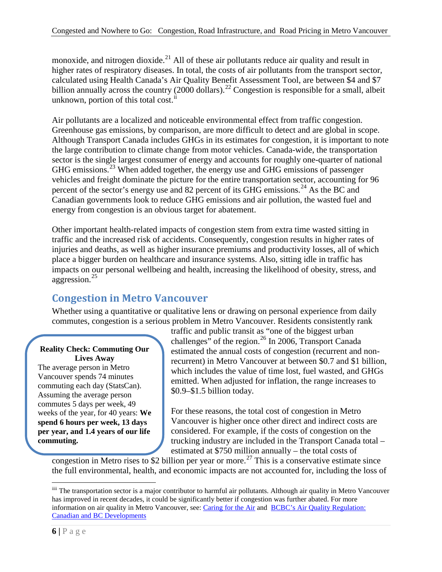monoxide, and nitrogen dioxide.<sup>[21](#page-58-0)</sup> All of these air pollutants reduce air quality and result in higher rates of respiratory diseases. In total, the costs of air pollutants from the transport sector, calculated using Health Canada's Air Quality Benefit Assessment Tool, are between \$4 and \$7 billion annually across the country (2000 dollars).<sup>[22](#page-58-1)</sup> Congestion is responsible for a small, albeit unknown, portion of this total cost. $i$ 

Air pollutants are a localized and noticeable environmental effect from traffic congestion. Greenhouse gas emissions, by comparison, are more difficult to detect and are global in scope. Although Transport Canada includes GHGs in its estimates for congestion, it is important to note the large contribution to climate change from motor vehicles. Canada-wide, the transportation sector is the single largest consumer of energy and accounts for roughly one-quarter of national GHG emissions.[23](#page-58-2) When added together, the energy use and GHG emissions of passenger vehicles and freight dominate the picture for the entire transportation sector, accounting for 96 percent of the sector's energy use and 82 percent of its GHG emissions.<sup>[24](#page-58-3)</sup> As the BC and Canadian governments look to reduce GHG emissions and air pollution, the wasted fuel and energy from congestion is an obvious target for abatement.

Other important health-related impacts of congestion stem from extra time wasted sitting in traffic and the increased risk of accidents. Consequently, congestion results in higher rates of injuries and deaths, as well as higher insurance premiums and productivity losses, all of which place a bigger burden on healthcare and insurance systems. Also, sitting idle in traffic has impacts on our personal wellbeing and health, increasing the likelihood of obesity, stress, and aggression.[25](#page-58-4)

## <span id="page-11-0"></span>**Congestion in Metro Vancouver**

Whether using a quantitative or qualitative lens or drawing on personal experience from daily commutes, congestion is a serious problem in Metro Vancouver. Residents consistently rank

#### **Reality Check: Commuting Our Lives Away**

The average person in Metro Vancouver spends 74 minutes commuting each day (StatsCan). Assuming the average person commutes 5 days per week, 49 weeks of the year, for 40 years: **We spend 6 hours per week, 13 days per year, and 1.4 years of our life commuting.**

traffic and public transit as "one of the biggest urban challenges" of the region. $^{26}$  $^{26}$  $^{26}$  In 2006, Transport Canada estimated the annual costs of congestion (recurrent and nonrecurrent) in Metro Vancouver at between \$0.7 and \$1 billion, which includes the value of time lost, fuel wasted, and GHGs emitted. When adjusted for inflation, the range increases to \$0.9–\$1.5 billion today.

For these reasons, the total cost of congestion in Metro Vancouver is higher once other direct and indirect costs are considered. For example, if the costs of congestion on the trucking industry are included in the Transport Canada total – estimated at \$750 million annually – the total costs of

congestion in Metro rises to \$2 billion per year or more.<sup>[27](#page-58-6)</sup> This is a conservative estimate since the full environmental, health, and economic impacts are not accounted for, including the loss of

<span id="page-11-1"></span>iiii The transportation sector is a major contributor to harmful air pollutants. Although air quality in Metro Vancouver has improved in recent decades, it could be significantly better if congestion was further abated. For more information on air quality in Metro Vancouver, see[: Caring for the Air](http://www.metrovancouver.org/services/air/Documents/Caring_for_the_Air-MV2013.pdf) and [BCBC's Air Quality Regulation:](http://www.bcbc.com/publications/2012/environment-and-energy-bulletin-brair-quality-regulation-canadian-and-bc-developments)  [Canadian and BC Developments](http://www.bcbc.com/publications/2012/environment-and-energy-bulletin-brair-quality-regulation-canadian-and-bc-developments)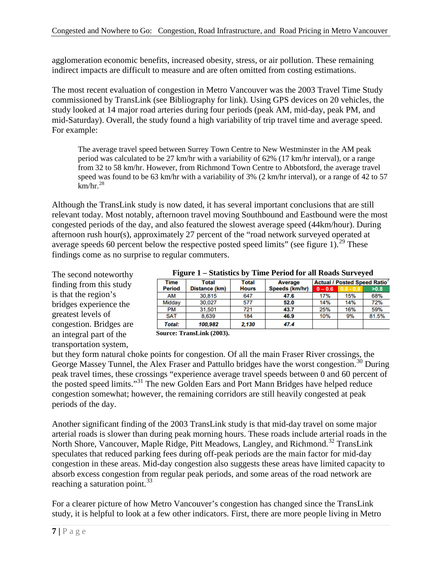agglomeration economic benefits, increased obesity, stress, or air pollution. These remaining indirect impacts are difficult to measure and are often omitted from costing estimations.

The most recent evaluation of congestion in Metro Vancouver was the 2003 Travel Time Study commissioned by TransLink (see Bibliography for link). Using GPS devices on 20 vehicles, the study looked at 14 major road arteries during four periods (peak AM, mid-day, peak PM, and mid-Saturday). Overall, the study found a high variability of trip travel time and average speed. For example:

The average travel speed between Surrey Town Centre to New Westminster in the AM peak period was calculated to be 27 km/hr with a variability of 62% (17 km/hr interval), or a range from 32 to 58 km/hr. However, from Richmond Town Centre to Abbotsford, the average travel speed was found to be 63 km/hr with a variability of 3% (2 km/hr interval), or a range of 42 to 57  $km/hr.<sup>28</sup>$  $km/hr.<sup>28</sup>$  $km/hr.<sup>28</sup>$ 

Although the TransLink study is now dated, it has several important conclusions that are still relevant today. Most notably, afternoon travel moving Southbound and Eastbound were the most congested periods of the day, and also featured the slowest average speed (44km/hour). During afternoon rush hour(s), approximately 27 percent of the "road network surveyed operated at average speeds 60 percent below the respective posted speed limits" (see figure 1).<sup>[29](#page-58-8)</sup> These findings come as no surprise to regular commuters.

The second noteworthy finding from this study is that the region's bridges experience the greatest levels of congestion. Bridges are an integral part of the transportation system,

| Figure 1 – Statistics by Time Period for all Roads Surveyed |  |  |
|-------------------------------------------------------------|--|--|
|-------------------------------------------------------------|--|--|

| Total         | Total        | <b>Average</b> | <b>Actual / Posted Speed Ratio'</b> |             |       |
|---------------|--------------|----------------|-------------------------------------|-------------|-------|
| Distance (km) | <b>Hours</b> | Speeds (km/hr) | $0 - 0.6$                           | $0.6 - 0.8$ | >0.8  |
| 30.815        | 647          | 47.6           | 17%                                 | 15%         | 68%   |
| 30.027        | 577          | 52.0           | 14%                                 | 14%         | 72%   |
| 31.501        | 721          | 43.7           | 25%                                 | 16%         | 59%   |
| 8.639         | 184          | 46.9           | 10%                                 | 9%          | 81.5% |
| 100.982       | 2.130        | 47.4           |                                     |             |       |
|               |              |                |                                     |             |       |

**Source: TransLink (2003).**

but they form natural choke points for congestion. Of all the main Fraser River crossings, the George Massey Tunnel, the Alex Fraser and Pattullo bridges have the worst congestion.<sup>[30](#page-58-9)</sup> During peak travel times, these crossings "experience average travel speeds between 0 and 60 percent of the posted speed limits."[31](#page-58-10) The new Golden Ears and Port Mann Bridges have helped reduce congestion somewhat; however, the remaining corridors are still heavily congested at peak periods of the day.

Another significant finding of the 2003 TransLink study is that mid-day travel on some major arterial roads is slower than during peak morning hours. These roads include arterial roads in the North Shore, Vancouver, Maple Ridge, Pitt Meadows, Langley, and Richmond.[32](#page-58-11) TransLink speculates that reduced parking fees during off-peak periods are the main factor for mid-day congestion in these areas. Mid-day congestion also suggests these areas have limited capacity to absorb excess congestion from regular peak periods, and some areas of the road network are reaching a saturation point. $33$ 

For a clearer picture of how Metro Vancouver's congestion has changed since the TransLink study, it is helpful to look at a few other indicators. First, there are more people living in Metro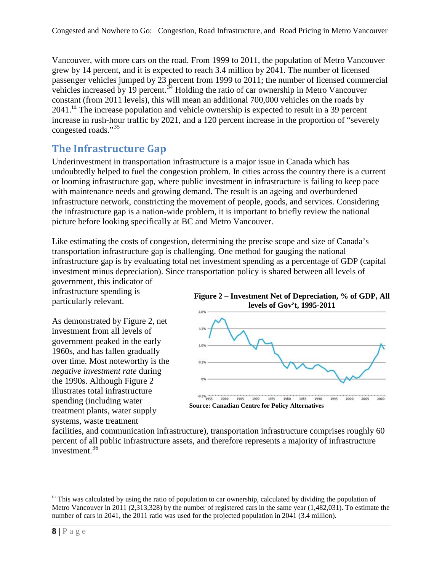Vancouver, with more cars on the road. From 1999 to 2011, the population of Metro Vancouver grew by 14 percent, and it is expected to reach 3.4 million by 2041. The number of licensed passenger vehicles jumped by 23 percent from 1999 to 2011; the number of licensed commercial vehicles increased by 19 percent.<sup>[34](#page-58-13)</sup> Holding the ratio of car ownership in Metro Vancouver constant (from 2011 levels), this will mean an additional 700,000 vehicles on the roads by 2041.<sup>[iii](#page-13-1)</sup> The increase population and vehicle ownership is expected to result in a 39 percent increase in rush-hour traffic by 2021, and a 120 percent increase in the proportion of "severely congested roads."[35](#page-58-14)

# <span id="page-13-0"></span>**The Infrastructure Gap**

Underinvestment in transportation infrastructure is a major issue in Canada which has undoubtedly helped to fuel the congestion problem. In cities across the country there is a current or looming infrastructure gap, where public investment in infrastructure is failing to keep pace with maintenance needs and growing demand. The result is an ageing and overburdened infrastructure network, constricting the movement of people, goods, and services. Considering the infrastructure gap is a nation-wide problem, it is important to briefly review the national picture before looking specifically at BC and Metro Vancouver.

Like estimating the costs of congestion, determining the precise scope and size of Canada's transportation infrastructure gap is challenging. One method for gauging the national infrastructure gap is by evaluating total net investment spending as a percentage of GDP (capital investment minus depreciation). Since transportation policy is shared between all levels of government, this indicator of

infrastructure spending is particularly relevant.

As demonstrated by Figure 2, net investment from all levels of government peaked in the early 1960s, and has fallen gradually over time. Most noteworthy is the *negative investment rate* during the 1990s. Although Figure 2 illustrates total infrastructure spending (including water treatment plants, water supply systems, waste treatment





facilities, and communication infrastructure), transportation infrastructure comprises roughly 60 percent of all public infrastructure assets, and therefore represents a majority of infrastructure  $investment<sup>36</sup>$  $investment<sup>36</sup>$  $investment<sup>36</sup>$ 

<span id="page-13-1"></span>iii This was calculated by using the ratio of population to car ownership, calculated by dividing the population of Metro Vancouver in 2011 (2,313,328) by the number of registered cars in the same year (1,482,031). To estimate the number of cars in 2041, the 2011 ratio was used for the projected population in 2041 (3.4 million).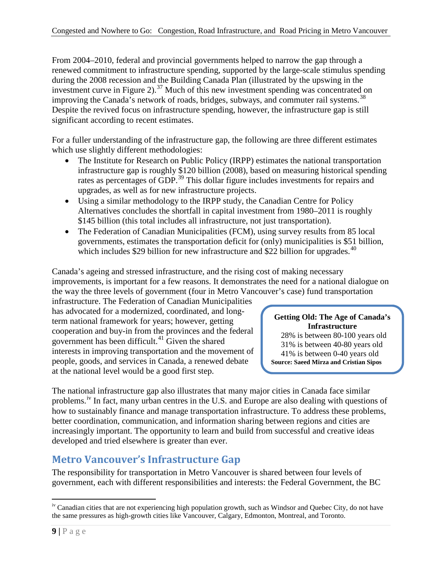From 2004–2010, federal and provincial governments helped to narrow the gap through a renewed commitment to infrastructure spending, supported by the large-scale stimulus spending during the 2008 recession and the Building Canada Plan (illustrated by the upswing in the investment curve in Figure 2).<sup>[37](#page-58-16)</sup> Much of this new investment spending was concentrated on improving the Canada's network of roads, bridges, subways, and commuter rail systems.<sup>38</sup> Despite the revived focus on infrastructure spending, however, the infrastructure gap is still significant according to recent estimates.

For a fuller understanding of the infrastructure gap, the following are three different estimates which use slightly different methodologies:

- The Institute for Research on Public Policy (IRPP) estimates the national transportation infrastructure gap is roughly \$120 billion (2008), based on measuring historical spending rates as percentages of GDP.<sup>[39](#page-58-18)</sup> This dollar figure includes investments for repairs and upgrades, as well as for new infrastructure projects.
- Using a similar methodology to the IRPP study, the Canadian Centre for Policy Alternatives concludes the shortfall in capital investment from 1980–2011 is roughly \$145 billion (this total includes all infrastructure, not just transportation).
- The Federation of Canadian Municipalities (FCM), using survey results from 85 local governments, estimates the transportation deficit for (only) municipalities is \$51 billion, which includes \$29 billion for new infrastructure and \$22 billion for upgrades.<sup>[40](#page-58-19)</sup>

Canada's ageing and stressed infrastructure, and the rising cost of making necessary improvements, is important for a few reasons. It demonstrates the need for a national dialogue on the way the three levels of government (four in Metro Vancouver's case) fund transportation

infrastructure. The Federation of Canadian Municipalities has advocated for a modernized, coordinated, and longterm national framework for years; however, getting cooperation and buy-in from the provinces and the federal government has been difficult. $41$  Given the shared interests in improving transportation and the movement of people, goods, and services in Canada, a renewed debate at the national level would be a good first step.

#### **Getting Old: The Age of Canada's Infrastructure**

28% is between 80-100 years old 31% is between 40-80 years old 41% is between 0-40 years old **Source: Saeed Mirza and Cristian Sipos**

The national infrastructure gap also illustrates that many major cities in Canada face similar problems.<sup>[iv](#page-14-1)</sup> In fact, many urban centres in the U.S. and Europe are also dealing with questions of how to sustainably finance and manage transportation infrastructure. To address these problems, better coordination, communication, and information sharing between regions and cities are increasingly important. The opportunity to learn and build from successful and creative ideas developed and tried elsewhere is greater than ever.

# <span id="page-14-0"></span>**Metro Vancouver's Infrastructure Gap**

The responsibility for transportation in Metro Vancouver is shared between four levels of government, each with different responsibilities and interests: the Federal Government, the BC

<span id="page-14-1"></span><sup>&</sup>lt;sup>iv</sup> Canadian cities that are not experiencing high population growth, such as Windsor and Quebec City, do not have the same pressures as high-growth cities like Vancouver, Calgary, Edmonton, Montreal, and Toronto.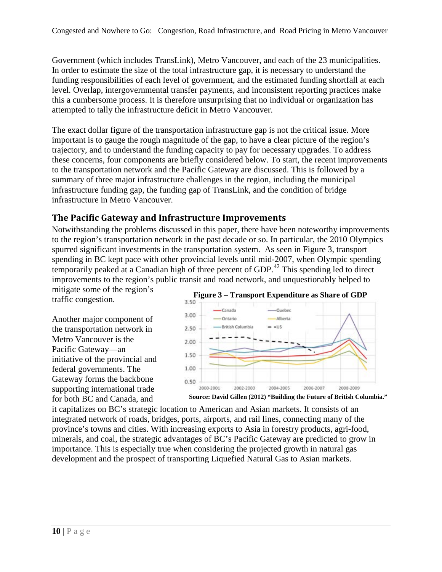Government (which includes TransLink), Metro Vancouver, and each of the 23 municipalities. In order to estimate the size of the total infrastructure gap, it is necessary to understand the funding responsibilities of each level of government, and the estimated funding shortfall at each level. Overlap, intergovernmental transfer payments, and inconsistent reporting practices make this a cumbersome process. It is therefore unsurprising that no individual or organization has attempted to tally the infrastructure deficit in Metro Vancouver.

The exact dollar figure of the transportation infrastructure gap is not the critical issue. More important is to gauge the rough magnitude of the gap, to have a clear picture of the region's trajectory, and to understand the funding capacity to pay for necessary upgrades. To address these concerns, four components are briefly considered below. To start, the recent improvements to the transportation network and the Pacific Gateway are discussed. This is followed by a summary of three major infrastructure challenges in the region, including the municipal infrastructure funding gap, the funding gap of TransLink, and the condition of bridge infrastructure in Metro Vancouver.

### <span id="page-15-0"></span>**The Pacific Gateway and Infrastructure Improvements**

Notwithstanding the problems discussed in this paper, there have been noteworthy improvements to the region's transportation network in the past decade or so. In particular, the 2010 Olympics spurred significant investments in the transportation system. As seen in Figure 3, transport spending in BC kept pace with other provincial levels until mid-2007, when Olympic spending temporarily peaked at a Canadian high of three percent of GDP.<sup>[42](#page-58-21)</sup> This spending led to direct improvements to the region's public transit and road network, and unquestionably helped to

mitigate some of the region's traffic congestion.

Another major component of the transportation network in Metro Vancouver is the Pacific Gateway—an initiative of the provincial and federal governments. The Gateway forms the backbone supporting international trade for both BC and Canada, and



it capitalizes on BC's strategic location to American and Asian markets. It consists of an integrated network of roads, bridges, ports, airports, and rail lines, connecting many of the province's towns and cities. With increasing exports to Asia in forestry products, agri-food, minerals, and coal, the strategic advantages of BC's Pacific Gateway are predicted to grow in importance. This is especially true when considering the projected growth in natural gas development and the prospect of transporting Liquefied Natural Gas to Asian markets.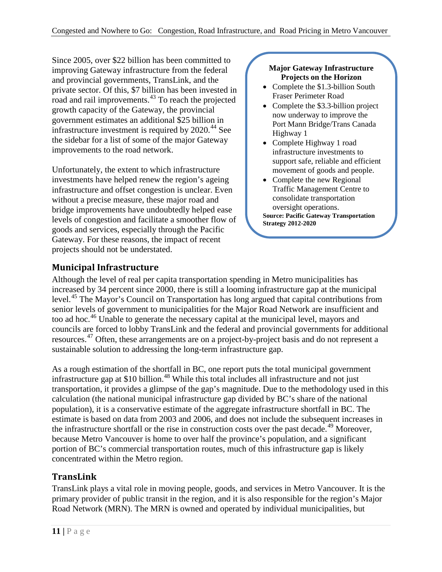Since 2005, over \$22 billion has been committed to improving Gateway infrastructure from the federal and provincial governments, TransLink, and the private sector. Of this, \$7 billion has been invested in road and rail improvements.[43](#page-58-22) To reach the projected growth capacity of the Gateway, the provincial government estimates an additional \$25 billion in infrastructure investment is required by  $2020$ .<sup>[44](#page-58-23)</sup> See the sidebar for a list of some of the major Gateway improvements to the road network.

Unfortunately, the extent to which infrastructure investments have helped renew the region's ageing infrastructure and offset congestion is unclear. Even without a precise measure, these major road and bridge improvements have undoubtedly helped ease levels of congestion and facilitate a smoother flow of goods and services, especially through the Pacific Gateway. For these reasons, the impact of recent projects should not be understated.

#### **Major Gateway Infrastructure Projects on the Horizon**

- Complete the \$1.3-billion South Fraser Perimeter Road
- Complete the \$3.3-billion project now underway to improve the Port Mann Bridge/Trans Canada Highway 1
- Complete Highway 1 road infrastructure investments to support safe, reliable and efficient movement of goods and people.
- Complete the new Regional Traffic Management Centre to consolidate transportation oversight operations. **Source: Pacific Gateway Transportation Strategy 2012-2020**

### <span id="page-16-0"></span>**Municipal Infrastructure**

Although the level of real per capita transportation spending in Metro municipalities has increased by 34 percent since 2000, there is still a looming infrastructure gap at the municipal level.[45](#page-58-24) The Mayor's Council on Transportation has long argued that capital contributions from senior levels of government to municipalities for the Major Road Network are insufficient and too ad hoc.<sup>[46](#page-58-25)</sup> Unable to generate the necessary capital at the municipal level, mayors and councils are forced to lobby TransLink and the federal and provincial governments for additional resources.[47](#page-58-26) Often, these arrangements are on a project-by-project basis and do not represent a sustainable solution to addressing the long-term infrastructure gap.

As a rough estimation of the shortfall in BC, one report puts the total municipal government infrastructure gap at \$10 billion.<sup>[48](#page-58-1)</sup> While this total includes all infrastructure and not just transportation, it provides a glimpse of the gap's magnitude. Due to the methodology used in this calculation (the national municipal infrastructure gap divided by BC's share of the national population), it is a conservative estimate of the aggregate infrastructure shortfall in BC. The estimate is based on data from 2003 and 2006, and does not include the subsequent increases in the infrastructure shortfall or the rise in construction costs over the past decade.<sup>[49](#page-58-2)</sup> Moreover, because Metro Vancouver is home to over half the province's population, and a significant portion of BC's commercial transportation routes, much of this infrastructure gap is likely concentrated within the Metro region.

### <span id="page-16-1"></span>**TransLink**

TransLink plays a vital role in moving people, goods, and services in Metro Vancouver. It is the primary provider of public transit in the region, and it is also responsible for the region's Major Road Network (MRN). The MRN is owned and operated by individual municipalities, but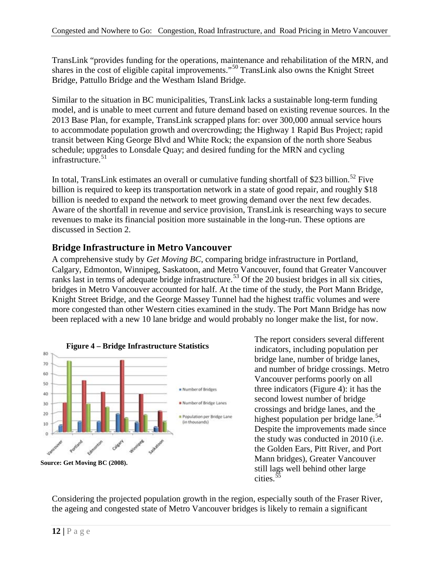TransLink "provides funding for the operations, maintenance and rehabilitation of the MRN, and shares in the cost of eligible capital improvements."<sup>[50](#page-58-27)</sup> TransLink also owns the Knight Street Bridge, Pattullo Bridge and the Westham Island Bridge.

Similar to the situation in BC municipalities, TransLink lacks a sustainable long-term funding model, and is unable to meet current and future demand based on existing revenue sources. In the 2013 Base Plan, for example, TransLink scrapped plans for: over 300,000 annual service hours to accommodate population growth and overcrowding; the Highway 1 Rapid Bus Project; rapid transit between King George Blvd and White Rock; the expansion of the north shore Seabus schedule; upgrades to Lonsdale Quay; and desired funding for the MRN and cycling infrastructure.<sup>[51](#page-58-3)</sup>

In total, TransLink estimates an overall or cumulative funding shortfall of \$23 billion.<sup>[52](#page-58-28)</sup> Five billion is required to keep its transportation network in a state of good repair, and roughly \$18 billion is needed to expand the network to meet growing demand over the next few decades. Aware of the shortfall in revenue and service provision, TransLink is researching ways to secure revenues to make its financial position more sustainable in the long-run. These options are discussed in Section 2.

### <span id="page-17-0"></span>**Bridge Infrastructure in Metro Vancouver**

A comprehensive study by *Get Moving BC*, comparing bridge infrastructure in Portland, Calgary, Edmonton, Winnipeg, Saskatoon, and Metro Vancouver, found that Greater Vancouver ranks last in terms of adequate bridge infrastructure.<sup>[53](#page-58-4)</sup> Of the 20 busiest bridges in all six cities, bridges in Metro Vancouver accounted for half. At the time of the study, the Port Mann Bridge, Knight Street Bridge, and the George Massey Tunnel had the highest traffic volumes and were more congested than other Western cities examined in the study. The Port Mann Bridge has now been replaced with a new 10 lane bridge and would probably no longer make the list, for now.



The report considers several different indicators, including population per bridge lane, number of bridge lanes, and number of bridge crossings. Metro Vancouver performs poorly on all three indicators (Figure 4): it has the second lowest number of bridge crossings and bridge lanes, and the highest population per bridge lane.<sup>[54](#page-58-29)</sup> Despite the improvements made since the study was conducted in 2010 (i.e. the Golden Ears, Pitt River, and Port Mann bridges), Greater Vancouver still lags well behind other large cities.<sup>[55](#page-58-5)</sup>

Considering the projected population growth in the region, especially south of the Fraser River, the ageing and congested state of Metro Vancouver bridges is likely to remain a significant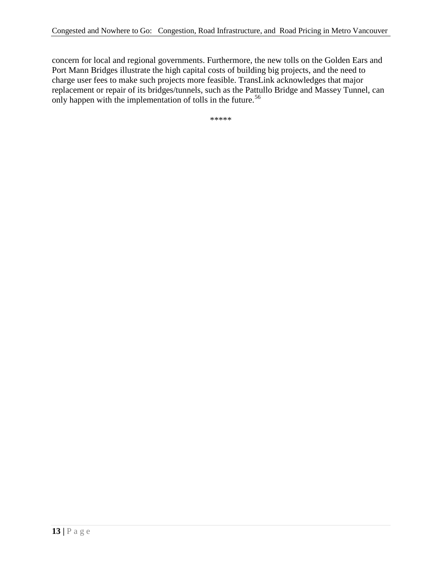concern for local and regional governments. Furthermore, the new tolls on the Golden Ears and Port Mann Bridges illustrate the high capital costs of building big projects, and the need to charge user fees to make such projects more feasible. TransLink acknowledges that major replacement or repair of its bridges/tunnels, such as the Pattullo Bridge and Massey Tunnel, can only happen with the implementation of tolls in the future.<sup>[56](#page-58-30)</sup>

\*\*\*\*\*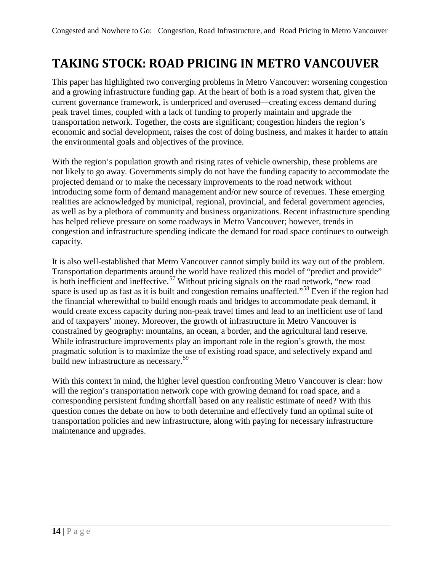# <span id="page-19-0"></span>**TAKING STOCK: ROAD PRICING IN METRO VANCOUVER**

This paper has highlighted two converging problems in Metro Vancouver: worsening congestion and a growing infrastructure funding gap. At the heart of both is a road system that, given the current governance framework, is underpriced and overused—creating excess demand during peak travel times, coupled with a lack of funding to properly maintain and upgrade the transportation network. Together, the costs are significant; congestion hinders the region's economic and social development, raises the cost of doing business, and makes it harder to attain the environmental goals and objectives of the province.

With the region's population growth and rising rates of vehicle ownership, these problems are not likely to go away. Governments simply do not have the funding capacity to accommodate the projected demand or to make the necessary improvements to the road network without introducing some form of demand management and/or new source of revenues. These emerging realities are acknowledged by municipal, regional, provincial, and federal government agencies, as well as by a plethora of community and business organizations. Recent infrastructure spending has helped relieve pressure on some roadways in Metro Vancouver; however, trends in congestion and infrastructure spending indicate the demand for road space continues to outweigh capacity.

It is also well-established that Metro Vancouver cannot simply build its way out of the problem. Transportation departments around the world have realized this model of "predict and provide" is both inefficient and ineffective.<sup>[57](#page-58-6)</sup> Without pricing signals on the road network, "new road space is used up as fast as it is built and congestion remains unaffected."[58](#page-58-7) Even if the region had the financial wherewithal to build enough roads and bridges to accommodate peak demand, it would create excess capacity during non-peak travel times and lead to an inefficient use of land and of taxpayers' money. Moreover, the growth of infrastructure in Metro Vancouver is constrained by geography: mountains, an ocean, a border, and the agricultural land reserve. While infrastructure improvements play an important role in the region's growth, the most pragmatic solution is to maximize the use of existing road space, and selectively expand and build new infrastructure as necessary.<sup>[59](#page-58-8)</sup>

With this context in mind, the higher level question confronting Metro Vancouver is clear: how will the region's transportation network cope with growing demand for road space, and a corresponding persistent funding shortfall based on any realistic estimate of need? With this question comes the debate on how to both determine and effectively fund an optimal suite of transportation policies and new infrastructure, along with paying for necessary infrastructure maintenance and upgrades.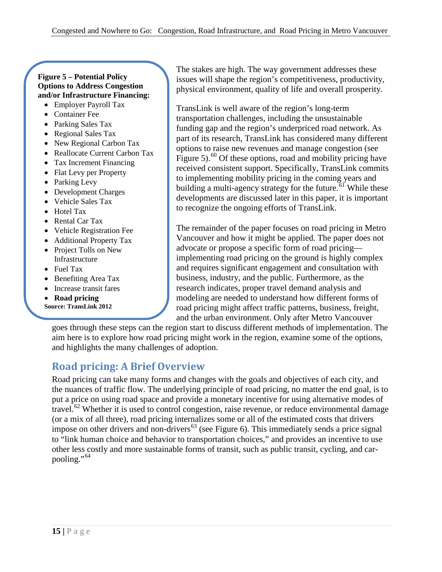#### **Figure 5 – Potential Policy Options to Address Congestion and/or Infrastructure Financing:**

- Employer Payroll Tax
- Container Fee
- Parking Sales Tax
- Regional Sales Tax
- New Regional Carbon Tax
- Reallocate Current Carbon Tax
- Tax Increment Financing
- Flat Levy per Property
- Parking Levy
- Development Charges
- Vehicle Sales Tax
- Hotel Tax
- Rental Car Tax
- Vehicle Registration Fee
- Additional Property Tax
- Project Tolls on New Infrastructure
- Fuel Tax
- Benefiting Area Tax
- Increase transit fares
- **Road pricing**
- **Source: TransLink 2012**

The stakes are high. The way government addresses these issues will shape the region's competitiveness, productivity, physical environment, quality of life and overall prosperity.

TransLink is well aware of the region's long-term transportation challenges, including the unsustainable funding gap and the region's underpriced road network. As part of its research, TransLink has considered many different options to raise new revenues and manage congestion (see Figure 5).<sup>[60](#page-58-10)</sup> Of these options, road and mobility pricing have received consistent support. Specifically, TransLink commits to implementing mobility pricing in the coming years and building a multi-agency strategy for the future.<sup>[61](#page-58-11)</sup> While these developments are discussed later in this paper, it is important to recognize the ongoing efforts of TransLink.

The remainder of the paper focuses on road pricing in Metro Vancouver and how it might be applied. The paper does not advocate or propose a specific form of road pricing implementing road pricing on the ground is highly complex and requires significant engagement and consultation with business, industry, and the public. Furthermore, as the research indicates, proper travel demand analysis and modeling are needed to understand how different forms of road pricing might affect traffic patterns, business, freight, and the urban environment. Only after Metro Vancouver

goes through these steps can the region start to discuss different methods of implementation. The aim here is to explore how road pricing might work in the region, examine some of the options, and highlights the many challenges of adoption.

# <span id="page-20-0"></span>**Road pricing: A Brief Overview**

Road pricing can take many forms and changes with the goals and objectives of each city, and the nuances of traffic flow. The underlying principle of road pricing, no matter the end goal, is to put a price on using road space and provide a monetary incentive for using alternative modes of travel.<sup>[62](#page-58-31)</sup> Whether it is used to control congestion, raise revenue, or reduce environmental damage (or a mix of all three), road pricing internalizes some or all of the estimated costs that drivers impose on other drivers and non-drivers<sup>[63](#page-58-13)</sup> (see Figure 6). This immediately sends a price signal to "link human choice and behavior to transportation choices," and provides an incentive to use other less costly and more sustainable forms of transit, such as public transit, cycling, and car-pooling."<sup>[64](#page-58-14)</sup>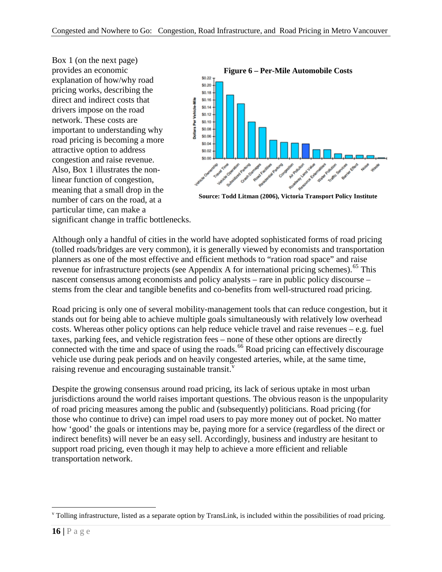Box 1 (on the next page) provides an economic explanation of how/why road pricing works, describing the direct and indirect costs that drivers impose on the road network. These costs are important to understanding why road pricing is becoming a more attractive option to address congestion and raise revenue. Also, Box 1 illustrates the nonlinear function of congestion, meaning that a small drop in the number of cars on the road, at a particular time, can make a



**Source: Todd Litman (2006), Victoria Transport Policy Institute**

significant change in traffic bottlenecks.

Although only a handful of cities in the world have adopted sophisticated forms of road pricing (tolled roads/bridges are very common), it is generally viewed by economists and transportation planners as one of the most effective and efficient methods to "ration road space" and raise revenue for infrastructure projects (see Appendix A for international pricing schemes).<sup>[65](#page-58-15)</sup> This nascent consensus among economists and policy analysts – rare in public policy discourse – stems from the clear and tangible benefits and co-benefits from well-structured road pricing.

Road pricing is only one of several mobility-management tools that can reduce congestion, but it stands out for being able to achieve multiple goals simultaneously with relatively low overhead costs. Whereas other policy options can help reduce vehicle travel and raise revenues – e.g. fuel taxes, parking fees, and vehicle registration fees – none of these other options are directly connected with the time and space of using the roads.<sup>[66](#page-58-32)</sup> Road pricing can effectively discourage vehicle use during peak periods and on heavily congested arteries, while, at the same time, raising re[v](#page-21-0)enue and encouraging sustainable transit.<sup>v</sup>

Despite the growing consensus around road pricing, its lack of serious uptake in most urban jurisdictions around the world raises important questions. The obvious reason is the unpopularity of road pricing measures among the public and (subsequently) politicians. Road pricing (for those who continue to drive) can impel road users to pay more money out of pocket. No matter how 'good' the goals or intentions may be, paying more for a service (regardless of the direct or indirect benefits) will never be an easy sell. Accordingly, business and industry are hesitant to support road pricing, even though it may help to achieve a more efficient and reliable transportation network.

<span id="page-21-0"></span> $v$  Tolling infrastructure, listed as a separate option by TransLink, is included within the possibilities of road pricing.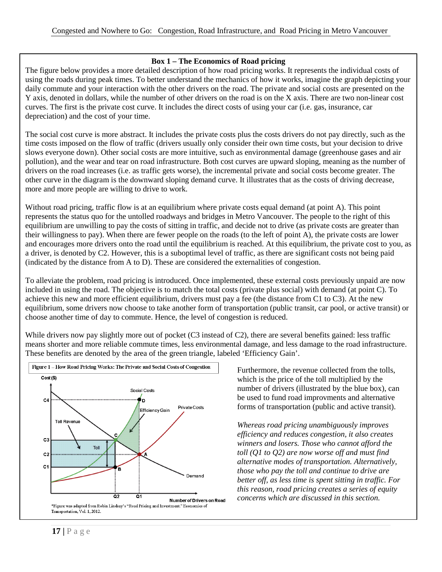#### **Box 1 – The Economics of Road pricing**

The figure below provides a more detailed description of how road pricing works. It represents the individual costs of using the roads during peak times. To better understand the mechanics of how it works, imagine the graph depicting your daily commute and your interaction with the other drivers on the road. The private and social costs are presented on the Y axis, denoted in dollars, while the number of other drivers on the road is on the X axis. There are two non-linear cost curves. The first is the private cost curve. It includes the direct costs of using your car (i.e. gas, insurance, car depreciation) and the cost of your time.

The social cost curve is more abstract. It includes the private costs plus the costs drivers do not pay directly, such as the time costs imposed on the flow of traffic (drivers usually only consider their own time costs, but your decision to drive slows everyone down). Other social costs are more intuitive, such as environmental damage (greenhouse gases and air pollution), and the wear and tear on road infrastructure. Both cost curves are upward sloping, meaning as the number of drivers on the road increases (i.e. as traffic gets worse), the incremental private and social costs become greater. The other curve in the diagram is the downward sloping demand curve. It illustrates that as the costs of driving decrease, more and more people are willing to drive to work.

Without road pricing, traffic flow is at an equilibrium where private costs equal demand (at point A). This point represents the status quo for the untolled roadways and bridges in Metro Vancouver. The people to the right of this equilibrium are unwilling to pay the costs of sitting in traffic, and decide not to drive (as private costs are greater than their willingness to pay). When there are fewer people on the roads (to the left of point A), the private costs are lower and encourages more drivers onto the road until the equilibrium is reached. At this equilibrium, the private cost to you, as a driver, is denoted by C2. However, this is a suboptimal level of traffic, as there are significant costs not being paid (indicated by the distance from A to D). These are considered the externalities of congestion.

To alleviate the problem, road pricing is introduced. Once implemented, these external costs previously unpaid are now included in using the road. The objective is to match the total costs (private plus social) with demand (at point C). To achieve this new and more efficient equilibrium, drivers must pay a fee (the distance from C1 to C3). At the new equilibrium, some drivers now choose to take another form of transportation (public transit, car pool, or active transit) or choose another time of day to commute. Hence, the level of congestion is reduced.

While drivers now pay slightly more out of pocket (C3 instead of C2), there are several benefits gained: less traffic means shorter and more reliable commute times, less environmental damage, and less damage to the road infrastructure. These benefits are denoted by the area of the green triangle, labeled 'Efficiency Gain'.



Furthermore, the revenue collected from the tolls, which is the price of the toll multiplied by the number of drivers (illustrated by the blue box), can be used to fund road improvments and alternative forms of transportation (public and active transit).

*Whereas road pricing unambiguously improves efficiency and reduces congestion, it also creates winners and losers. Those who cannot afford the toll (Q1 to Q2) are now worse off and must find alternative modes of transportation. Alternatively, those who pay the toll and continue to drive are better off, as less time is spent sitting in traffic. For this reason, road pricing creates a series of equity concerns which are discussed in this section.*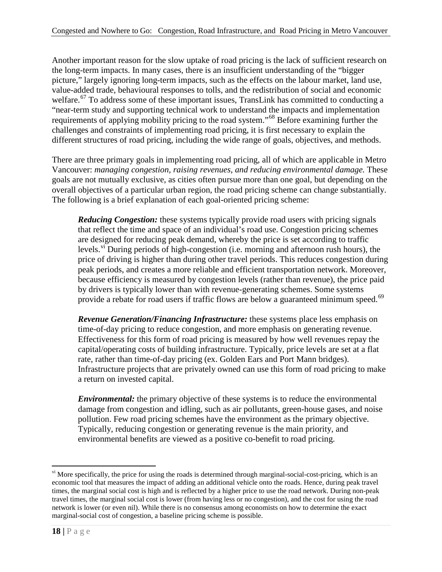Another important reason for the slow uptake of road pricing is the lack of sufficient research on the long-term impacts. In many cases, there is an insufficient understanding of the "bigger picture," largely ignoring long-term impacts, such as the effects on the labour market, land use, value-added trade, behavioural responses to tolls, and the redistribution of social and economic welfare.<sup>[67](#page-58-33)</sup> To address some of these important issues, TransLink has committed to conducting a "near-term study and supporting technical work to understand the impacts and implementation requirements of applying mobility pricing to the road system."[68](#page-58-18) Before examining further the challenges and constraints of implementing road pricing, it is first necessary to explain the different structures of road pricing, including the wide range of goals, objectives, and methods.

There are three primary goals in implementing road pricing, all of which are applicable in Metro Vancouver: *managing congestion, raising revenues, and reducing environmental damage.* These goals are not mutually exclusive, as cities often pursue more than one goal, but depending on the overall objectives of a particular urban region, the road pricing scheme can change substantially. The following is a brief explanation of each goal-oriented pricing scheme:

*Reducing Congestion:* these systems typically provide road users with pricing signals that reflect the time and space of an individual's road use. Congestion pricing schemes are designed for reducing peak demand, whereby the price is set according to traffic levels.<sup>[vi](#page-23-0)</sup> During periods of high-congestion (i.e. morning and afternoon rush hours), the price of driving is higher than during other travel periods. This reduces congestion during peak periods, and creates a more reliable and efficient transportation network. Moreover, because efficiency is measured by congestion levels (rather than revenue), the price paid by drivers is typically lower than with revenue-generating schemes. Some systems provide a rebate for road users if traffic flows are below a guaranteed minimum speed.<sup>[69](#page-58-34)</sup>

*Revenue Generation/Financing Infrastructure:* these systems place less emphasis on time-of-day pricing to reduce congestion, and more emphasis on generating revenue. Effectiveness for this form of road pricing is measured by how well revenues repay the capital/operating costs of building infrastructure. Typically, price levels are set at a flat rate, rather than time-of-day pricing (ex. Golden Ears and Port Mann bridges). Infrastructure projects that are privately owned can use this form of road pricing to make a return on invested capital.

*Environmental:* the primary objective of these systems is to reduce the environmental damage from congestion and idling, such as air pollutants, green-house gases, and noise pollution. Few road pricing schemes have the environment as the primary objective. Typically, reducing congestion or generating revenue is the main priority, and environmental benefits are viewed as a positive co-benefit to road pricing.

<span id="page-23-0"></span><sup>&</sup>lt;sup>vi</sup> More specifically, the price for using the roads is determined through marginal-social-cost-pricing, which is an economic tool that measures the impact of adding an additional vehicle onto the roads. Hence, during peak travel times, the marginal social cost is high and is reflected by a higher price to use the road network. During non-peak travel times, the marginal social cost is lower (from having less or no congestion), and the cost for using the road network is lower (or even nil). While there is no consensus among economists on how to determine the exact marginal-social cost of congestion, a baseline pricing scheme is possible.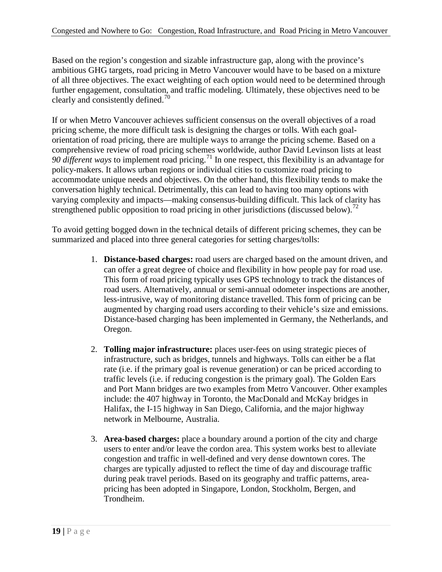Based on the region's congestion and sizable infrastructure gap, along with the province's ambitious GHG targets, road pricing in Metro Vancouver would have to be based on a mixture of all three objectives. The exact weighting of each option would need to be determined through further engagement, consultation, and traffic modeling. Ultimately, these objectives need to be clearly and consistently defined.<sup>[70](#page-58-19)</sup>

If or when Metro Vancouver achieves sufficient consensus on the overall objectives of a road pricing scheme, the more difficult task is designing the charges or tolls. With each goalorientation of road pricing, there are multiple ways to arrange the pricing scheme. Based on a comprehensive review of road pricing schemes worldwide, author David Levinson lists at least *90 different ways* to implement road pricing.<sup>[71](#page-58-20)</sup> In one respect, this flexibility is an advantage for policy-makers. It allows urban regions or individual cities to customize road pricing to accommodate unique needs and objectives. On the other hand, this flexibility tends to make the conversation highly technical. Detrimentally, this can lead to having too many options with varying complexity and impacts—making consensus-building difficult. This lack of clarity has strengthened public opposition to road pricing in other jurisdictions (discussed below).<sup>[72](#page-58-21)</sup>

To avoid getting bogged down in the technical details of different pricing schemes, they can be summarized and placed into three general categories for setting charges/tolls:

- 1. **Distance-based charges:** road users are charged based on the amount driven, and can offer a great degree of choice and flexibility in how people pay for road use. This form of road pricing typically uses GPS technology to track the distances of road users. Alternatively, annual or semi-annual odometer inspections are another, less-intrusive, way of monitoring distance travelled. This form of pricing can be augmented by charging road users according to their vehicle's size and emissions. Distance-based charging has been implemented in Germany, the Netherlands, and Oregon.
- 2. **Tolling major infrastructure:** places user-fees on using strategic pieces of infrastructure, such as bridges, tunnels and highways. Tolls can either be a flat rate (i.e. if the primary goal is revenue generation) or can be priced according to traffic levels (i.e. if reducing congestion is the primary goal). The Golden Ears and Port Mann bridges are two examples from Metro Vancouver. Other examples include: the 407 highway in Toronto, the MacDonald and McKay bridges in Halifax, the I-15 highway in San Diego, California, and the major highway network in Melbourne, Australia.
- 3. **Area-based charges:** place a boundary around a portion of the city and charge users to enter and/or leave the cordon area. This system works best to alleviate congestion and traffic in well-defined and very dense downtown cores. The charges are typically adjusted to reflect the time of day and discourage traffic during peak travel periods. Based on its geography and traffic patterns, areapricing has been adopted in Singapore, London, Stockholm, Bergen, and Trondheim.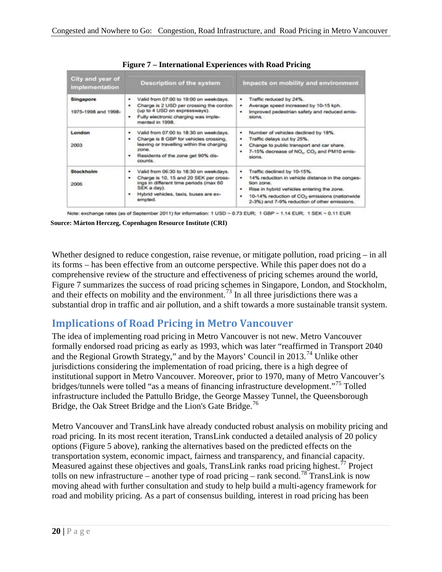| <b>City and year of</b><br>implementation | <b>Description of the system</b>                                                                                                                                                                        | Impacts on mobility and environment                                                                                                                                                                                                                                          |
|-------------------------------------------|---------------------------------------------------------------------------------------------------------------------------------------------------------------------------------------------------------|------------------------------------------------------------------------------------------------------------------------------------------------------------------------------------------------------------------------------------------------------------------------------|
| Singapore<br>1975-1998 and 1998-          | Valid from 07:00 to 19:00 on weekdays.<br>۰<br>Charge is 2 USD per crossing the cordon<br>(up to 4 USD on expressways).<br>Fully electronic charging was imple-<br>۰<br>mented in 1998.                 | Traffic reduced by 24%.<br>٠<br>Average speed increased by 10-15 kph.<br>٠<br>Improved pedestrian safety and reduced emis-<br>۰<br>sions.                                                                                                                                    |
| London<br><b>CONSULT</b><br>2003          | Valid from 07:00 to 18:30 on weekdays.<br>٠<br>Charge is 8 GBP for vehicles crossing.<br>۰<br>leaving or travelling within the charging<br>zone.<br>Residents of the zone get 90% dis-<br>counts.       | Number of vehicles declined by 18%.<br>٠<br>Traffic delays cut by 25%.<br>٠<br>Change to public transport and car share.<br>٠<br>7-15% decrease of NO., CO <sub>2</sub> and PM10 emis-<br>٠<br>sions.                                                                        |
| <b>Stockholm</b><br>2006                  | Valid from 06:30 to 18:30 on weekdays.<br>٠<br>Charge is 10, 15 and 20 SEK per cross-<br>٠<br>ings in different time periods (max 60<br>SEK a day).<br>Hybrid vehicles, taxis, buses are ex-<br>empted. | Traffic declined by 10-15%.<br>٠<br>14% reduction in vehicle distance in the conges-<br>٠<br>tion zone.<br>Rise in hybrid vehicles entering the zone.<br>٠<br>10-14% reduction of CO <sub>2</sub> emissions (nationwide<br>٠<br>2-3%) and 7-9% reduction of other emissions. |

**Figure 7 – International Experiences with Road Pricing**

Note: exchange rates (as of September 2011) for information: 1 USD ~ 0.73 EUR; 1 GBP ~ 1.14 EUR; 1 SEK ~ 0.11 EUR

**Source: Márton Herczeg, Copenhagen Resource Institute (CRI)**

Whether designed to reduce congestion, raise revenue, or mitigate pollution, road pricing – in all its forms – has been effective from an outcome perspective. While this paper does not do a comprehensive review of the structure and effectiveness of pricing schemes around the world, Figure 7 summarizes the success of road pricing schemes in Singapore, London, and Stockholm, and their effects on mobility and the environment.<sup>[73](#page-58-22)</sup> In all three jurisdictions there was a substantial drop in traffic and air pollution, and a shift towards a more sustainable transit system.

## <span id="page-25-0"></span>**Implications of Road Pricing in Metro Vancouver**

The idea of implementing road pricing in Metro Vancouver is not new. Metro Vancouver formally endorsed road pricing as early as 1993, which was later "reaffirmed in Transport 2040 and the Regional Growth Strategy," and by the Mayors' Council in 2013.[74](#page-58-24) Unlike other jurisdictions considering the implementation of road pricing, there is a high degree of institutional support in Metro Vancouver. Moreover, prior to 1970, many of Metro Vancouver's bridges/tunnels were tolled "as a means of financing infrastructure development."[75](#page-58-35) Tolled infrastructure included the Pattullo Bridge, the George Massey Tunnel, the Queensborough Bridge, the Oak Street Bridge and the Lion's Gate Bridge.<sup>[76](#page-58-36)</sup>

Metro Vancouver and TransLink have already conducted robust analysis on mobility pricing and road pricing. In its most recent iteration, TransLink conducted a detailed analysis of 20 policy options (Figure 5 above), ranking the alternatives based on the predicted effects on the transportation system, economic impact, fairness and transparency, and financial capacity. Measured against these objectives and goals, TransLink ranks road pricing highest.<sup> $77$ </sup> Project tolls on new infrastructure – another type of road pricing – rank second.<sup>[78](#page-58-37)</sup> TransLink is now moving ahead with further consultation and study to help build a multi-agency framework for road and mobility pricing. As a part of consensus building, interest in road pricing has been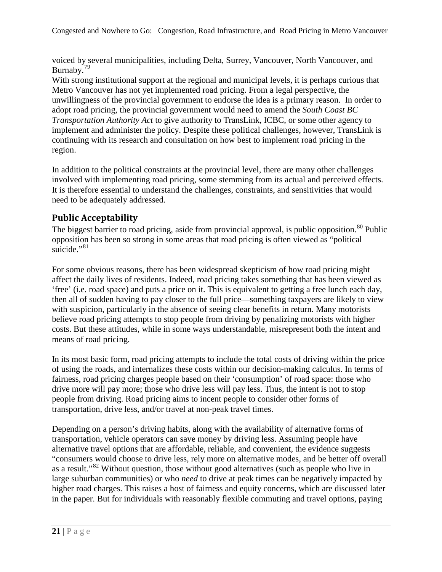voiced by several municipalities, including Delta, Surrey, Vancouver, North Vancouver, and Burnaby.<sup>[79](#page-58-1)</sup>

With strong institutional support at the regional and municipal levels, it is perhaps curious that Metro Vancouver has not yet implemented road pricing. From a legal perspective, the unwillingness of the provincial government to endorse the idea is a primary reason. In order to adopt road pricing, the provincial government would need to amend the *South Coast BC Transportation Authority Act* to give authority to TransLink, ICBC, or some other agency to implement and administer the policy. Despite these political challenges, however, TransLink is continuing with its research and consultation on how best to implement road pricing in the region.

In addition to the political constraints at the provincial level, there are many other challenges involved with implementing road pricing, some stemming from its actual and perceived effects. It is therefore essential to understand the challenges, constraints, and sensitivities that would need to be adequately addressed.

### <span id="page-26-0"></span>**Public Acceptability**

The biggest barrier to road pricing, aside from provincial approval, is public opposition.<sup>[80](#page-58-27)</sup> Public opposition has been so strong in some areas that road pricing is often viewed as "political suicide."<sup>[81](#page-58-3)</sup>

For some obvious reasons, there has been widespread skepticism of how road pricing might affect the daily lives of residents. Indeed, road pricing takes something that has been viewed as 'free' (i.e. road space) and puts a price on it. This is equivalent to getting a free lunch each day, then all of sudden having to pay closer to the full price—something taxpayers are likely to view with suspicion, particularly in the absence of seeing clear benefits in return. Many motorists believe road pricing attempts to stop people from driving by penalizing motorists with higher costs. But these attitudes, while in some ways understandable, misrepresent both the intent and means of road pricing.

In its most basic form, road pricing attempts to include the total costs of driving within the price of using the roads, and internalizes these costs within our decision-making calculus. In terms of fairness, road pricing charges people based on their 'consumption' of road space: those who drive more will pay more; those who drive less will pay less. Thus, the intent is not to stop people from driving. Road pricing aims to incent people to consider other forms of transportation, drive less, and/or travel at non-peak travel times.

Depending on a person's driving habits, along with the availability of alternative forms of transportation, vehicle operators can save money by driving less. Assuming people have alternative travel options that are affordable, reliable, and convenient, the evidence suggests "consumers would choose to drive less, rely more on alternative modes, and be better off overall as a result."<sup>[82](#page-58-4)</sup> Without question, those without good alternatives (such as people who live in large suburban communities) or who *need* to drive at peak times can be negatively impacted by higher road charges. This raises a host of fairness and equity concerns, which are discussed later in the paper. But for individuals with reasonably flexible commuting and travel options, paying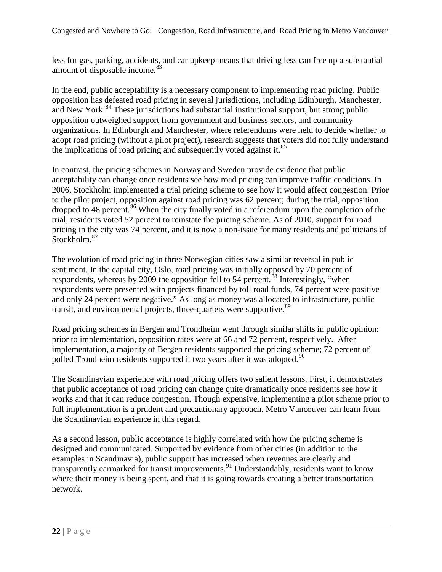less for gas, parking, accidents, and car upkeep means that driving less can free up a substantial amount of disposable income.<sup>[83](#page-58-29)</sup>

In the end, public acceptability is a necessary component to implementing road pricing. Public opposition has defeated road pricing in several jurisdictions, including Edinburgh, Manchester, and New York.<sup>[84](#page-58-5)</sup> These jurisdictions had substantial institutional support, but strong public opposition outweighed support from government and business sectors, and community organizations. In Edinburgh and Manchester, where referendums were held to decide whether to adopt road pricing (without a pilot project), research suggests that voters did not fully understand the implications of road pricing and subsequently voted against it. $85$ 

In contrast, the pricing schemes in Norway and Sweden provide evidence that public acceptability can change once residents see how road pricing can improve traffic conditions. In 2006, Stockholm implemented a trial pricing scheme to see how it would affect congestion. Prior to the pilot project, opposition against road pricing was 62 percent; during the trial, opposition dropped to 48 percent.<sup>[86](#page-58-38)</sup> When the city finally voted in a referendum upon the completion of the trial, residents voted 52 percent to reinstate the pricing scheme. As of 2010, support for road pricing in the city was 74 percent, and it is now a non-issue for many residents and politicians of Stockholm.<sup>[87](#page-58-8)</sup>

The evolution of road pricing in three Norwegian cities saw a similar reversal in public sentiment. In the capital city, Oslo, road pricing was initially opposed by 70 percent of respondents, whereas by 2009 the opposition fell to 54 percent.<sup>[88](#page-58-9)</sup> Interestingly, "when respondents were presented with projects financed by toll road funds, 74 percent were positive and only 24 percent were negative." As long as money was allocated to infrastructure, public transit, and environmental projects, three-quarters were supportive.<sup>[89](#page-58-10)</sup>

Road pricing schemes in Bergen and Trondheim went through similar shifts in public opinion: prior to implementation, opposition rates were at 66 and 72 percent, respectively. After implementation, a majority of Bergen residents supported the pricing scheme; 72 percent of polled Trondheim residents supported it two years after it was adopted.<sup>[90](#page-58-39)</sup>

The Scandinavian experience with road pricing offers two salient lessons. First, it demonstrates that public acceptance of road pricing can change quite dramatically once residents see how it works and that it can reduce congestion. Though expensive, implementing a pilot scheme prior to full implementation is a prudent and precautionary approach. Metro Vancouver can learn from the Scandinavian experience in this regard.

As a second lesson, public acceptance is highly correlated with how the pricing scheme is designed and communicated. Supported by evidence from other cities (in addition to the examples in Scandinavia), public support has increased when revenues are clearly and transparently earmarked for transit improvements.<sup>[91](#page-58-11)</sup> Understandably, residents want to know where their money is being spent, and that it is going towards creating a better transportation network.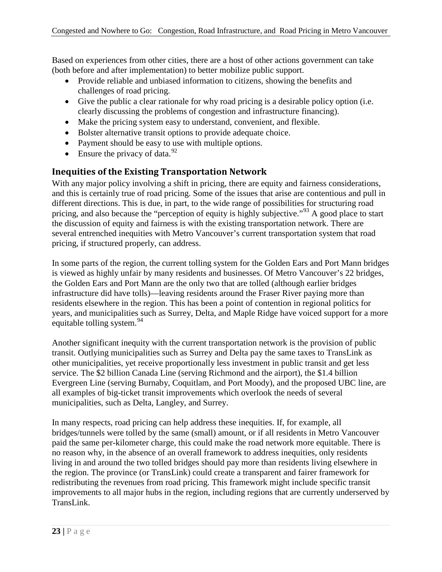Based on experiences from other cities, there are a host of other actions government can take (both before and after implementation) to better mobilize public support.

- Provide reliable and unbiased information to citizens, showing the benefits and challenges of road pricing.
- Give the public a clear rationale for why road pricing is a desirable policy option (i.e. clearly discussing the problems of congestion and infrastructure financing).
- Make the pricing system easy to understand, convenient, and flexible.
- Bolster alternative transit options to provide adequate choice.
- Payment should be easy to use with multiple options.
- Ensure the privacy of data.  $92$

#### <span id="page-28-0"></span>**Inequities of the Existing Transportation Network**

With any major policy involving a shift in pricing, there are equity and fairness considerations, and this is certainly true of road pricing. Some of the issues that arise are contentious and pull in different directions. This is due, in part, to the wide range of possibilities for structuring road pricing, and also because the "perception of equity is highly subjective."<sup>[93](#page-58-40)</sup> A good place to start the discussion of equity and fairness is with the existing transportation network. There are several entrenched inequities with Metro Vancouver's current transportation system that road pricing, if structured properly, can address.

In some parts of the region, the current tolling system for the Golden Ears and Port Mann bridges is viewed as highly unfair by many residents and businesses. Of Metro Vancouver's 22 bridges, the Golden Ears and Port Mann are the only two that are tolled (although earlier bridges infrastructure did have tolls)—leaving residents around the Fraser River paying more than residents elsewhere in the region. This has been a point of contention in regional politics for years, and municipalities such as Surrey, Delta, and Maple Ridge have voiced support for a more equitable tolling system. $94$ 

Another significant inequity with the current transportation network is the provision of public transit. Outlying municipalities such as Surrey and Delta pay the same taxes to TransLink as other municipalities, yet receive proportionally less investment in public transit and get less service. The \$2 billion Canada Line (serving Richmond and the airport), the \$1.4 billion Evergreen Line (serving Burnaby, Coquitlam, and Port Moody), and the proposed UBC line, are all examples of big-ticket transit improvements which overlook the needs of several municipalities, such as Delta, Langley, and Surrey.

In many respects, road pricing can help address these inequities. If, for example, all bridges/tunnels were tolled by the same (small) amount, or if all residents in Metro Vancouver paid the same per-kilometer charge, this could make the road network more equitable. There is no reason why, in the absence of an overall framework to address inequities, only residents living in and around the two tolled bridges should pay more than residents living elsewhere in the region. The province (or TransLink) could create a transparent and fairer framework for redistributing the revenues from road pricing. This framework might include specific transit improvements to all major hubs in the region, including regions that are currently underserved by TransLink.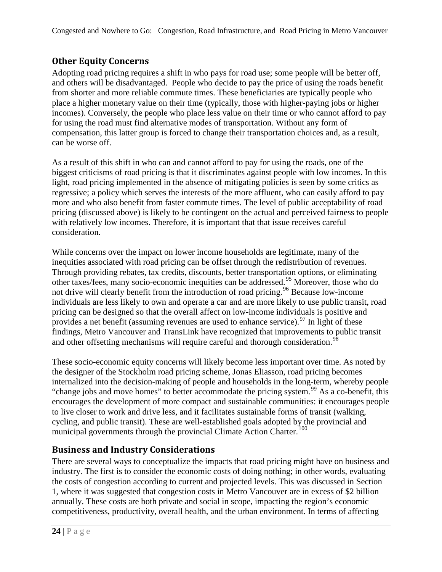## <span id="page-29-0"></span>**Other Equity Concerns**

Adopting road pricing requires a shift in who pays for road use; some people will be better off, and others will be disadvantaged. People who decide to pay the price of using the roads benefit from shorter and more reliable commute times. These beneficiaries are typically people who place a higher monetary value on their time (typically, those with higher-paying jobs or higher incomes). Conversely, the people who place less value on their time or who cannot afford to pay for using the road must find alternative modes of transportation. Without any form of compensation, this latter group is forced to change their transportation choices and, as a result, can be worse off.

As a result of this shift in who can and cannot afford to pay for using the roads, one of the biggest criticisms of road pricing is that it discriminates against people with low incomes. In this light, road pricing implemented in the absence of mitigating policies is seen by some critics as regressive; a policy which serves the interests of the more affluent, who can easily afford to pay more and who also benefit from faster commute times. The level of public acceptability of road pricing (discussed above) is likely to be contingent on the actual and perceived fairness to people with relatively low incomes. Therefore, it is important that that issue receives careful consideration.

While concerns over the impact on lower income households are legitimate, many of the inequities associated with road pricing can be offset through the redistribution of revenues. Through providing rebates, tax credits, discounts, better transportation options, or eliminating other taxes/fees, many socio-economic inequities can be addressed.[95](#page-58-17) Moreover, those who do not drive will clearly benefit from the introduction of road pricing.<sup>[96](#page-58-18)</sup> Because low-income individuals are less likely to own and operate a car and are more likely to use public transit, road pricing can be designed so that the overall affect on low-income individuals is positive and provides a net benefit (assuming revenues are used to enhance service).  $97$  In light of these findings, Metro Vancouver and TransLink have recognized that improvements to public transit and other offsetting mechanisms will require careful and thorough consideration.<sup>[98](#page-58-42)</sup>

These socio-economic equity concerns will likely become less important over time. As noted by the designer of the Stockholm road pricing scheme, Jonas Eliasson, road pricing becomes internalized into the decision-making of people and households in the long-term, whereby people "change jobs and move homes" to better accommodate the pricing system.<sup>[99](#page-58-43)</sup> As a co-benefit, this encourages the development of more compact and sustainable communities: it encourages people to live closer to work and drive less, and it facilitates sustainable forms of transit (walking, cycling, and public transit). These are well-established goals adopted by the provincial and municipal governments through the provincial Climate Action Charter.<sup>[100](#page-58-22)</sup>

### <span id="page-29-1"></span>**Business and Industry Considerations**

There are several ways to conceptualize the impacts that road pricing might have on business and industry. The first is to consider the economic costs of doing nothing; in other words, evaluating the costs of congestion according to current and projected levels. This was discussed in Section 1, where it was suggested that congestion costs in Metro Vancouver are in excess of \$2 billion annually. These costs are both private and social in scope, impacting the region's economic competitiveness, productivity, overall health, and the urban environment. In terms of affecting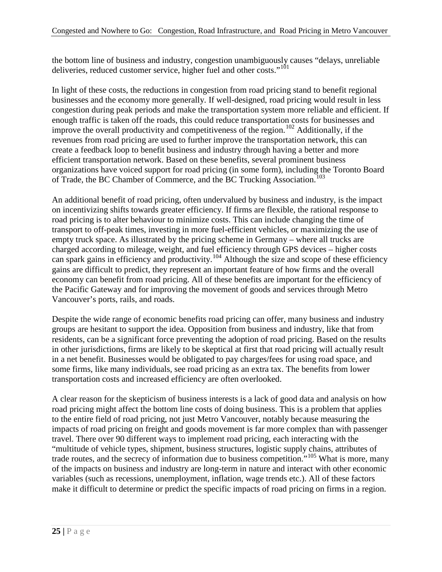the bottom line of business and industry, congestion unambiguously causes "delays, unreliable deliveries, reduced customer service, higher fuel and other costs."<sup>[101](#page-58-23)</sup>

In light of these costs, the reductions in congestion from road pricing stand to benefit regional businesses and the economy more generally. If well-designed, road pricing would result in less congestion during peak periods and make the transportation system more reliable and efficient. If enough traffic is taken off the roads, this could reduce transportation costs for businesses and improve the overall productivity and competitiveness of the region.<sup>[102](#page-58-35)</sup> Additionally, if the revenues from road pricing are used to further improve the transportation network, this can create a feedback loop to benefit business and industry through having a better and more efficient transportation network. Based on these benefits, several prominent business organizations have voiced support for road pricing (in some form), including the Toronto Board of Trade, the BC Chamber of Commerce, and the BC Trucking Association.<sup>[103](#page-58-1)</sup>

An additional benefit of road pricing, often undervalued by business and industry, is the impact on incentivizing shifts towards greater efficiency. If firms are flexible, the rational response to road pricing is to alter behaviour to minimize costs. This can include changing the time of transport to off-peak times, investing in more fuel-efficient vehicles, or maximizing the use of empty truck space. As illustrated by the pricing scheme in Germany – where all trucks are charged according to mileage, weight, and fuel efficiency through GPS devices – higher costs can spark gains in efficiency and productivity.<sup>[104](#page-58-3)</sup> Although the size and scope of these efficiency gains are difficult to predict, they represent an important feature of how firms and the overall economy can benefit from road pricing. All of these benefits are important for the efficiency of the Pacific Gateway and for improving the movement of goods and services through Metro Vancouver's ports, rails, and roads.

Despite the wide range of economic benefits road pricing can offer, many business and industry groups are hesitant to support the idea. Opposition from business and industry, like that from residents, can be a significant force preventing the adoption of road pricing. Based on the results in other jurisdictions, firms are likely to be skeptical at first that road pricing will actually result in a net benefit. Businesses would be obligated to pay charges/fees for using road space, and some firms, like many individuals, see road pricing as an extra tax. The benefits from lower transportation costs and increased efficiency are often overlooked.

A clear reason for the skepticism of business interests is a lack of good data and analysis on how road pricing might affect the bottom line costs of doing business. This is a problem that applies to the entire field of road pricing, not just Metro Vancouver, notably because measuring the impacts of road pricing on freight and goods movement is far more complex than with passenger travel. There over 90 different ways to implement road pricing, each interacting with the "multitude of vehicle types, shipment, business structures, logistic supply chains, attributes of trade routes, and the secrecy of information due to business competition."[105](#page-58-4) What is more, many of the impacts on business and industry are long-term in nature and interact with other economic variables (such as recessions, unemployment, inflation, wage trends etc.). All of these factors make it difficult to determine or predict the specific impacts of road pricing on firms in a region.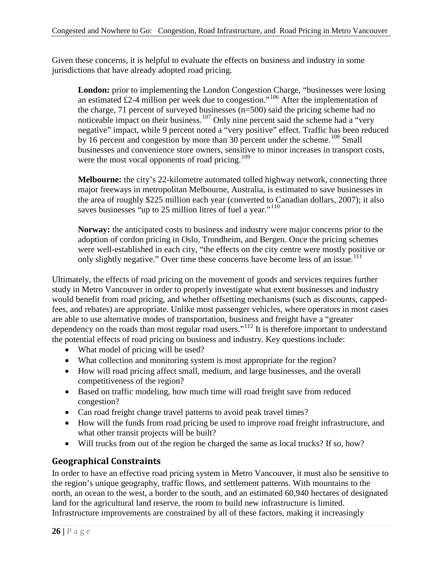Given these concerns, it is helpful to evaluate the effects on business and industry in some jurisdictions that have already adopted road pricing.

**London:** prior to implementing the London Congestion Charge, "businesses were losing an estimated £2-4 million per week due to congestion."<sup>[106](#page-58-5)</sup> After the implementation of the charge, 71 percent of surveyed businesses (n=500) said the pricing scheme had no noticeable impact on their business.<sup>[107](#page-58-6)</sup> Only nine percent said the scheme had a "very" negative" impact, while 9 percent noted a "very positive" effect. Traffic has been reduced by 16 percent and congestion by more than 30 percent under the scheme.<sup>[108](#page-58-44)</sup> Small businesses and convenience store owners, sensitive to minor increases in transport costs, were the most vocal opponents of road pricing.<sup>[109](#page-58-45)</sup>

**Melbourne:** the city's 22-kilometre automated tolled highway network, connecting three major freeways in metropolitan Melbourne, Australia, is estimated to save businesses in the area of roughly \$225 million each year (converted to Canadian dollars, 2007); it also saves businesses "up to 25 million litres of fuel a year."<sup>[110](#page-58-46)</sup>

**Norway:** the anticipated costs to business and industry were major concerns prior to the adoption of cordon pricing in Oslo, Trondheim, and Bergen. Once the pricing schemes were well-established in each city, "the effects on the city centre were mostly positive or only slightly negative." Over time these concerns have become less of an issue.<sup>[111](#page-58-47)</sup>

Ultimately, the effects of road pricing on the movement of goods and services requires further study in Metro Vancouver in order to properly investigate what extent businesses and industry would benefit from road pricing, and whether offsetting mechanisms (such as discounts, cappedfees, and rebates) are appropriate. Unlike most passenger vehicles, where operators in most cases are able to use alternative modes of transportation, business and freight have a "greater dependency on the roads than most regular road users."<sup>[112](#page-58-48)</sup> It is therefore important to understand the potential effects of road pricing on business and industry. Key questions include:

- What model of pricing will be used?
- What collection and monitoring system is most appropriate for the region?
- How will road pricing affect small, medium, and large businesses, and the overall competitiveness of the region?
- Based on traffic modeling, how much time will road freight save from reduced congestion?
- Can road freight change travel patterns to avoid peak travel times?
- How will the funds from road pricing be used to improve road freight infrastructure, and what other transit projects will be built?
- Will trucks from out of the region be charged the same as local trucks? If so, how?

### <span id="page-31-0"></span>**Geographical Constraints**

In order to have an effective road pricing system in Metro Vancouver, it must also be sensitive to the region's unique geography, traffic flows, and settlement patterns. With mountains to the north, an ocean to the west, a border to the south, and an estimated 60,940 hectares of designated land for the agricultural land reserve, the room to build new infrastructure is limited. Infrastructure improvements are constrained by all of these factors, making it increasingly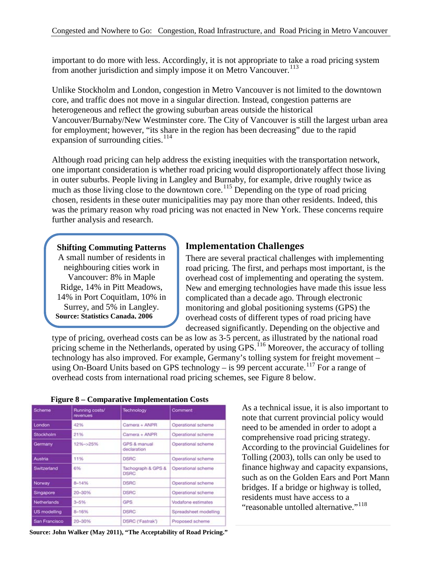important to do more with less. Accordingly, it is not appropriate to take a road pricing system from another jurisdiction and simply impose it on Metro Vancouver.<sup>[113](#page-58-49)</sup>

Unlike Stockholm and London, congestion in Metro Vancouver is not limited to the downtown core, and traffic does not move in a singular direction. Instead, congestion patterns are heterogeneous and reflect the growing suburban areas outside the historical Vancouver/Burnaby/New Westminster core. The City of Vancouver is still the largest urban area for employment; however, "its share in the region has been decreasing" due to the rapid expansion of surrounding cities.<sup>[114](#page-58-50)</sup>

Although road pricing can help address the existing inequities with the transportation network, one important consideration is whether road pricing would disproportionately affect those living in outer suburbs. People living in Langley and Burnaby, for example, drive roughly twice as much as those living close to the downtown core.<sup>[115](#page-58-51)</sup> Depending on the type of road pricing chosen, residents in these outer municipalities may pay more than other residents. Indeed, this was the primary reason why road pricing was not enacted in New York. These concerns require further analysis and research.

#### **Shifting Commuting Patterns**

A small number of residents in neighbouring cities work in Vancouver: 8% in Maple Ridge, 14% in Pitt Meadows, 14% in Port Coquitlam, 10% in Surrey, and 5% in Langley. **Source: Statistics Canada, 2006**

#### <span id="page-32-0"></span>**Implementation Challenges**

There are several practical challenges with implementing road pricing. The first, and perhaps most important, is the overhead cost of implementing and operating the system. New and emerging technologies have made this issue less complicated than a decade ago. Through electronic monitoring and global positioning systems (GPS) the overhead costs of different types of road pricing have decreased significantly. Depending on the objective and

type of pricing, overhead costs can be as low as 3-5 percent, as illustrated by the national road pricing scheme in the Netherlands, operated by using GPS.<sup>[116](#page-58-52)</sup> Moreover, the accuracy of tolling technology has also improved. For example, Germany's tolling system for freight movement – using On-Board Units based on GPS technology – is 99 percent accurate.<sup>[117](#page-58-53)</sup> For a range of overhead costs from international road pricing schemes, see Figure 8 below.

| Scheme              | Running costs/<br>revenues | Technology                        | Comment               |  |
|---------------------|----------------------------|-----------------------------------|-----------------------|--|
| London              | 42%                        | Camera + ANPR                     | Operational scheme    |  |
| Stockholm           | 21%                        | Camera + ANPR                     | Operational scheme    |  |
| Germany             | 12%~>25%                   | GPS & manual<br>declaration       | Operational scheme    |  |
| Austria             | 11%                        | <b>DSRC</b>                       | Operational scheme    |  |
| Switzerland         | 6%                         | Tachograph & GPS &<br><b>DSRC</b> | Operational scheme    |  |
| Norway              | $8 - 14%$                  | <b>DSRC</b>                       | Operational scheme    |  |
| Singapore           | 20-30%                     | <b>DSRC</b>                       | Operational scheme    |  |
| Netherlands         | $3 - 5%$                   | <b>GPS</b>                        | Vodafone estimates    |  |
| <b>US modelling</b> | 8-16%                      | <b>DSRC</b>                       | Spreadsheet modelling |  |
| San Francisco       | 20-30%                     | DSRC ('Fastrak')                  | Proposed scheme       |  |

**Figure 8 – Comparative Implementation Costs**

**27 Example 2012 2012 CONDERGIAL STAGE SOURCE: John Walker (May 2011), "The Acceptability of Road Pricing."** 

As a technical issue, it is also important to note that current provincial policy would need to be amended in order to adopt a comprehensive road pricing strategy. According to the provincial Guidelines for Tolling (2003), tolls can only be used to finance highway and capacity expansions, such as on the Golden Ears and Port Mann bridges. If a bridge or highway is tolled, residents must have access to a "reasonable untolled alternative."<sup>[118](#page-58-54)</sup>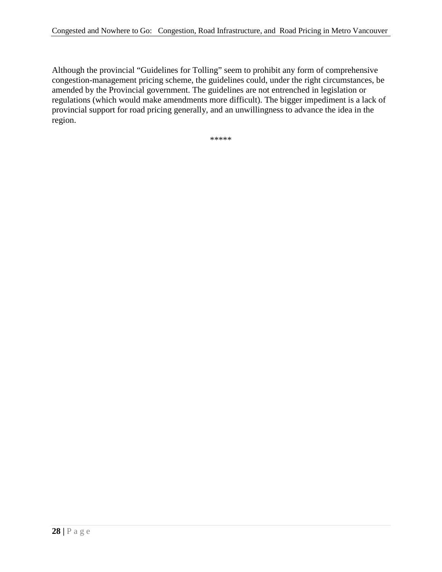Although the provincial "Guidelines for Tolling" seem to prohibit any form of comprehensive congestion-management pricing scheme, the guidelines could, under the right circumstances, be amended by the Provincial government. The guidelines are not entrenched in legislation or regulations (which would make amendments more difficult). The bigger impediment is a lack of provincial support for road pricing generally, and an unwillingness to advance the idea in the region.

\*\*\*\*\*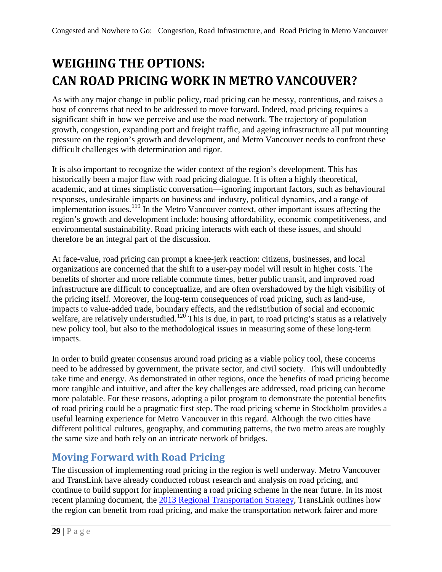# <span id="page-34-0"></span>**WEIGHING THE OPTIONS: CAN ROAD PRICING WORK IN METRO VANCOUVER?**

As with any major change in public policy, road pricing can be messy, contentious, and raises a host of concerns that need to be addressed to move forward. Indeed, road pricing requires a significant shift in how we perceive and use the road network. The trajectory of population growth, congestion, expanding port and freight traffic, and ageing infrastructure all put mounting pressure on the region's growth and development, and Metro Vancouver needs to confront these difficult challenges with determination and rigor.

It is also important to recognize the wider context of the region's development. This has historically been a major flaw with road pricing dialogue. It is often a highly theoretical, academic, and at times simplistic conversation—ignoring important factors, such as behavioural responses, undesirable impacts on business and industry, political dynamics, and a range of implementation issues.<sup>[119](#page-58-55)</sup> In the Metro Vancouver context, other important issues affecting the region's growth and development include: housing affordability, economic competitiveness, and environmental sustainability. Road pricing interacts with each of these issues, and should therefore be an integral part of the discussion.

At face-value, road pricing can prompt a knee-jerk reaction: citizens, businesses, and local organizations are concerned that the shift to a user-pay model will result in higher costs. The benefits of shorter and more reliable commute times, better public transit, and improved road infrastructure are difficult to conceptualize, and are often overshadowed by the high visibility of the pricing itself. Moreover, the long-term consequences of road pricing, such as land-use, impacts to value-added trade, boundary effects, and the redistribution of social and economic welfare, are relatively understudied.<sup>[120](#page-58-56)</sup> This is due, in part, to road pricing's status as a relatively new policy tool, but also to the methodological issues in measuring some of these long-term impacts.

In order to build greater consensus around road pricing as a viable policy tool, these concerns need to be addressed by government, the private sector, and civil society. This will undoubtedly take time and energy. As demonstrated in other regions, once the benefits of road pricing become more tangible and intuitive, and after the key challenges are addressed, road pricing can become more palatable. For these reasons, adopting a pilot program to demonstrate the potential benefits of road pricing could be a pragmatic first step. The road pricing scheme in Stockholm provides a useful learning experience for Metro Vancouver in this regard. Although the two cities have different political cultures, geography, and commuting patterns, the two metro areas are roughly the same size and both rely on an intricate network of bridges.

# <span id="page-34-1"></span>**Moving Forward with Road Pricing**

The discussion of implementing road pricing in the region is well underway. Metro Vancouver and TransLink have already conducted robust research and analysis on road pricing, and continue to build support for implementing a road pricing scheme in the near future. In its most recent planning document, the [2013 Regional Transportation Strategy,](http://www.translink.ca/~/media/documents/plans_and_projects/regional_transportation_strategy/rts_strategic_framework_07_31_2013.ashx) TransLink outlines how the region can benefit from road pricing, and make the transportation network fairer and more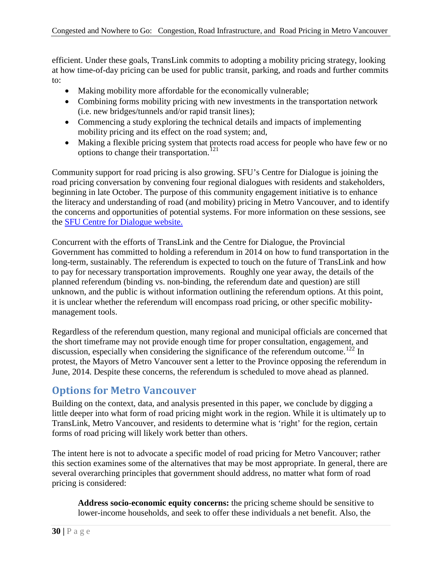efficient. Under these goals, TransLink commits to adopting a mobility pricing strategy, looking at how time-of-day pricing can be used for public transit, parking, and roads and further commits to:

- Making mobility more affordable for the economically vulnerable;
- Combining forms mobility pricing with new investments in the transportation network (i.e. new bridges/tunnels and/or rapid transit lines);
- Commencing a study exploring the technical details and impacts of implementing mobility pricing and its effect on the road system; and,
- Making a flexible pricing system that protects road access for people who have few or no options to change their transportation.<sup>[121](#page-58-57)</sup>

Community support for road pricing is also growing. SFU's Centre for Dialogue is joining the road pricing conversation by convening four regional dialogues with residents and stakeholders, beginning in late October. The purpose of this community engagement initiative is to enhance the literacy and understanding of road (and mobility) pricing in Metro Vancouver, and to identify the concerns and opportunities of potential systems. For more information on these sessions, see the [SFU Centre for Dialogue website.](http://www.sfu.ca/dialogue/news-and-events/archives/2013/moving-in-metro.html)

Concurrent with the efforts of TransLink and the Centre for Dialogue, the Provincial Government has committed to holding a referendum in 2014 on how to fund transportation in the long-term, sustainably. The referendum is expected to touch on the future of TransLink and how to pay for necessary transportation improvements. Roughly one year away, the details of the planned referendum (binding vs. non-binding, the referendum date and question) are still unknown, and the public is without information outlining the referendum options. At this point, it is unclear whether the referendum will encompass road pricing, or other specific mobilitymanagement tools.

Regardless of the referendum question, many regional and municipal officials are concerned that the short timeframe may not provide enough time for proper consultation, engagement, and discussion, especially when considering the significance of the referendum outcome.<sup>[122](#page-58-58)</sup> In protest, the Mayors of Metro Vancouver sent a letter to the Province opposing the referendum in June, 2014. Despite these concerns, the referendum is scheduled to move ahead as planned.

## <span id="page-35-0"></span>**Options for Metro Vancouver**

Building on the context, data, and analysis presented in this paper, we conclude by digging a little deeper into what form of road pricing might work in the region. While it is ultimately up to TransLink, Metro Vancouver, and residents to determine what is 'right' for the region, certain forms of road pricing will likely work better than others.

The intent here is not to advocate a specific model of road pricing for Metro Vancouver; rather this section examines some of the alternatives that may be most appropriate. In general, there are several overarching principles that government should address, no matter what form of road pricing is considered:

**Address socio-economic equity concerns:** the pricing scheme should be sensitive to lower-income households, and seek to offer these individuals a net benefit. Also, the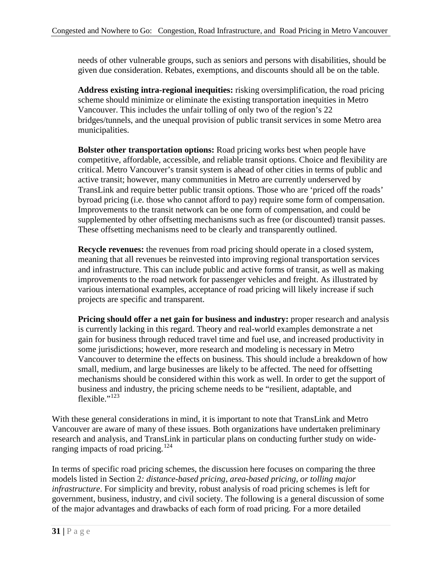needs of other vulnerable groups, such as seniors and persons with disabilities, should be given due consideration. Rebates, exemptions, and discounts should all be on the table.

**Address existing intra-regional inequities:** risking oversimplification, the road pricing scheme should minimize or eliminate the existing transportation inequities in Metro Vancouver. This includes the unfair tolling of only two of the region's 22 bridges/tunnels, and the unequal provision of public transit services in some Metro area municipalities.

**Bolster other transportation options:** Road pricing works best when people have competitive, affordable, accessible, and reliable transit options. Choice and flexibility are critical. Metro Vancouver's transit system is ahead of other cities in terms of public and active transit; however, many communities in Metro are currently underserved by TransLink and require better public transit options. Those who are 'priced off the roads' byroad pricing (i.e. those who cannot afford to pay) require some form of compensation. Improvements to the transit network can be one form of compensation, and could be supplemented by other offsetting mechanisms such as free (or discounted) transit passes. These offsetting mechanisms need to be clearly and transparently outlined.

**Recycle revenues:** the revenues from road pricing should operate in a closed system, meaning that all revenues be reinvested into improving regional transportation services and infrastructure. This can include public and active forms of transit, as well as making improvements to the road network for passenger vehicles and freight. As illustrated by various international examples, acceptance of road pricing will likely increase if such projects are specific and transparent.

**Pricing should offer a net gain for business and industry:** proper research and analysis is currently lacking in this regard. Theory and real-world examples demonstrate a net gain for business through reduced travel time and fuel use, and increased productivity in some jurisdictions; however, more research and modeling is necessary in Metro Vancouver to determine the effects on business. This should include a breakdown of how small, medium, and large businesses are likely to be affected. The need for offsetting mechanisms should be considered within this work as well. In order to get the support of business and industry, the pricing scheme needs to be "resilient, adaptable, and flexible $^{123}$  $^{123}$  $^{123}$ 

With these general considerations in mind, it is important to note that TransLink and Metro Vancouver are aware of many of these issues. Both organizations have undertaken preliminary research and analysis, and TransLink in particular plans on conducting further study on wide-ranging impacts of road pricing.<sup>[124](#page-58-60)</sup>

In terms of specific road pricing schemes, the discussion here focuses on comparing the three models listed in Section 2*: distance-based pricing, area-based pricing, or tolling major infrastructure*. For simplicity and brevity, robust analysis of road pricing schemes is left for government, business, industry, and civil society. The following is a general discussion of some of the major advantages and drawbacks of each form of road pricing. For a more detailed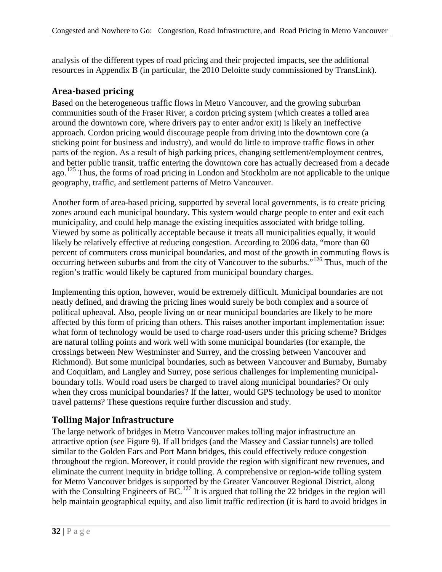analysis of the different types of road pricing and their projected impacts, see the additional resources in Appendix B (in particular, the 2010 Deloitte study commissioned by TransLink).

#### <span id="page-37-0"></span>**Area-based pricing**

Based on the heterogeneous traffic flows in Metro Vancouver, and the growing suburban communities south of the Fraser River, a cordon pricing system (which creates a tolled area around the downtown core, where drivers pay to enter and/or exit) is likely an ineffective approach. Cordon pricing would discourage people from driving into the downtown core (a sticking point for business and industry), and would do little to improve traffic flows in other parts of the region. As a result of high parking prices, changing settlement/employment centres, and better public transit, traffic entering the downtown core has actually decreased from a decade ago.<sup>[125](#page-58-61)</sup> Thus, the forms of road pricing in London and Stockholm are not applicable to the unique geography, traffic, and settlement patterns of Metro Vancouver.

Another form of area-based pricing, supported by several local governments, is to create pricing zones around each municipal boundary. This system would charge people to enter and exit each municipality, and could help manage the existing inequities associated with bridge tolling. Viewed by some as politically acceptable because it treats all municipalities equally, it would likely be relatively effective at reducing congestion. According to 2006 data, "more than 60 percent of commuters cross municipal boundaries, and most of the growth in commuting flows is occurring between suburbs and from the city of Vancouver to the suburbs."[126](#page-58-62) Thus, much of the region's traffic would likely be captured from municipal boundary charges.

Implementing this option, however, would be extremely difficult. Municipal boundaries are not neatly defined, and drawing the pricing lines would surely be both complex and a source of political upheaval. Also, people living on or near municipal boundaries are likely to be more affected by this form of pricing than others. This raises another important implementation issue: what form of technology would be used to charge road-users under this pricing scheme? Bridges are natural tolling points and work well with some municipal boundaries (for example, the crossings between New Westminster and Surrey, and the crossing between Vancouver and Richmond). But some municipal boundaries, such as between Vancouver and Burnaby, Burnaby and Coquitlam, and Langley and Surrey, pose serious challenges for implementing municipalboundary tolls. Would road users be charged to travel along municipal boundaries? Or only when they cross municipal boundaries? If the latter, would GPS technology be used to monitor travel patterns? These questions require further discussion and study.

### <span id="page-37-1"></span>**Tolling Major Infrastructure**

The large network of bridges in Metro Vancouver makes tolling major infrastructure an attractive option (see Figure 9). If all bridges (and the Massey and Cassiar tunnels) are tolled similar to the Golden Ears and Port Mann bridges, this could effectively reduce congestion throughout the region. Moreover, it could provide the region with significant new revenues, and eliminate the current inequity in bridge tolling. A comprehensive or region-wide tolling system for Metro Vancouver bridges is supported by the Greater Vancouver Regional District, along with the Consulting Engineers of BC.<sup>[127](#page-58-63)</sup> It is argued that tolling the 22 bridges in the region will help maintain geographical equity, and also limit traffic redirection (it is hard to avoid bridges in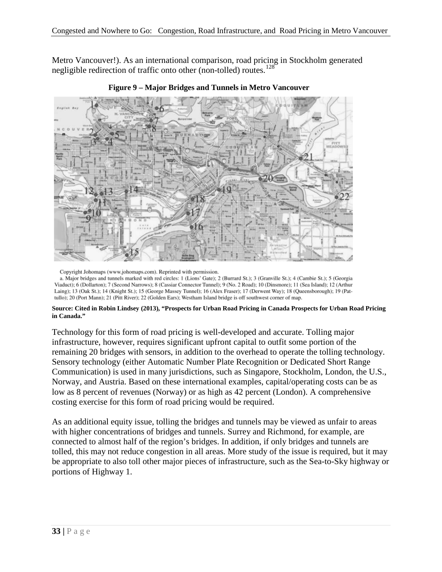Metro Vancouver!). As an international comparison, road pricing in Stockholm generated negligible redirection of traffic onto other (non-tolled) routes.<sup>[128](#page-58-64)</sup>





Copyright Johomaps (www.johomaps.com). Reprinted with permission.

a. Major bridges and tunnels marked with red circles: 1 (Lions' Gate); 2 (Burrard St.); 3 (Granville St.); 4 (Cambie St.); 5 (Georgia Viaduct); 6 (Dollarton); 7 (Second Narrows); 8 (Cassiar Connector Tunnel); 9 (No. 2 Road); 10 (Dinsmore); 11 (Sea Island); 12 (Arthur Laing); 13 (Oak St.); 14 (Knight St.); 15 (George Massey Tunnel); 16 (Alex Fraser); 17 (Derwent Way); 18 (Queensborough); 19 (Pattullo); 20 (Port Mann); 21 (Pitt River); 22 (Golden Ears); Westham Island bridge is off southwest corner of map.

#### **Source: Cited in Robin Lindsey (2013), "Prospects for Urban Road Pricing in Canada Prospects for Urban Road Pricing in Canada."**

Technology for this form of road pricing is well-developed and accurate. Tolling major infrastructure, however, requires significant upfront capital to outfit some portion of the remaining 20 bridges with sensors, in addition to the overhead to operate the tolling technology. Sensory technology (either Automatic Number Plate Recognition or Dedicated Short Range Communication) is used in many jurisdictions, such as Singapore, Stockholm, London, the U.S., Norway, and Austria. Based on these international examples, capital/operating costs can be as low as 8 percent of revenues (Norway) or as high as 42 percent (London). A comprehensive costing exercise for this form of road pricing would be required.

As an additional equity issue, tolling the bridges and tunnels may be viewed as unfair to areas with higher concentrations of bridges and tunnels. Surrey and Richmond, for example, are connected to almost half of the region's bridges. In addition, if only bridges and tunnels are tolled, this may not reduce congestion in all areas. More study of the issue is required, but it may be appropriate to also toll other major pieces of infrastructure, such as the Sea-to-Sky highway or portions of Highway 1.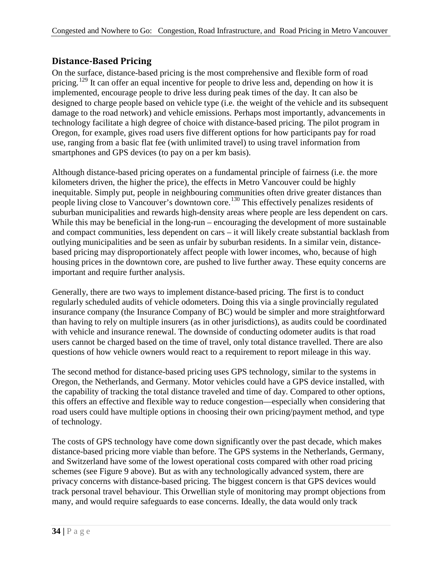### <span id="page-39-0"></span>**Distance-Based Pricing**

On the surface, distance-based pricing is the most comprehensive and flexible form of road pricing.<sup>[129](#page-58-1)</sup> It can offer an equal incentive for people to drive less and, depending on how it is implemented, encourage people to drive less during peak times of the day. It can also be designed to charge people based on vehicle type (i.e. the weight of the vehicle and its subsequent damage to the road network) and vehicle emissions. Perhaps most importantly, advancements in technology facilitate a high degree of choice with distance-based pricing. The pilot program in Oregon, for example, gives road users five different options for how participants pay for road use, ranging from a basic flat fee (with unlimited travel) to using travel information from smartphones and GPS devices (to pay on a per km basis).

Although distance-based pricing operates on a fundamental principle of fairness (i.e. the more kilometers driven, the higher the price), the effects in Metro Vancouver could be highly inequitable. Simply put, people in neighbouring communities often drive greater distances than people living close to Vancouver's downtown core.[130](#page-58-2) This effectively penalizes residents of suburban municipalities and rewards high-density areas where people are less dependent on cars. While this may be beneficial in the long-run – encouraging the development of more sustainable and compact communities, less dependent on cars – it will likely create substantial backlash from outlying municipalities and be seen as unfair by suburban residents. In a similar vein, distancebased pricing may disproportionately affect people with lower incomes, who, because of high housing prices in the downtown core, are pushed to live further away. These equity concerns are important and require further analysis.

Generally, there are two ways to implement distance-based pricing. The first is to conduct regularly scheduled audits of vehicle odometers. Doing this via a single provincially regulated insurance company (the Insurance Company of BC) would be simpler and more straightforward than having to rely on multiple insurers (as in other jurisdictions), as audits could be coordinated with vehicle and insurance renewal. The downside of conducting odometer audits is that road users cannot be charged based on the time of travel, only total distance travelled. There are also questions of how vehicle owners would react to a requirement to report mileage in this way.

The second method for distance-based pricing uses GPS technology, similar to the systems in Oregon, the Netherlands, and Germany. Motor vehicles could have a GPS device installed, with the capability of tracking the total distance traveled and time of day. Compared to other options, this offers an effective and flexible way to reduce congestion—especially when considering that road users could have multiple options in choosing their own pricing/payment method, and type of technology.

The costs of GPS technology have come down significantly over the past decade, which makes distance-based pricing more viable than before. The GPS systems in the Netherlands, Germany, and Switzerland have some of the lowest operational costs compared with other road pricing schemes (see Figure 9 above). But as with any technologically advanced system, there are privacy concerns with distance-based pricing. The biggest concern is that GPS devices would track personal travel behaviour. This Orwellian style of monitoring may prompt objections from many, and would require safeguards to ease concerns. Ideally, the data would only track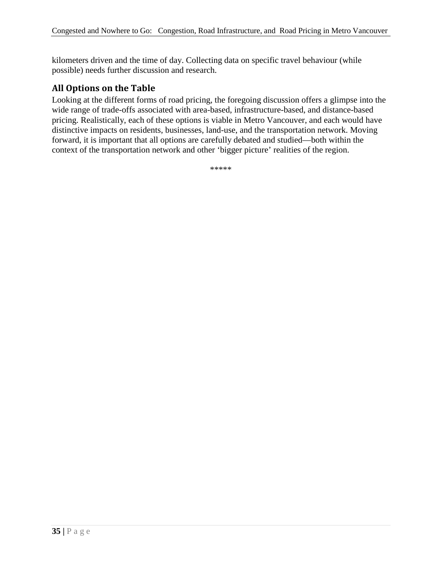kilometers driven and the time of day. Collecting data on specific travel behaviour (while possible) needs further discussion and research.

#### <span id="page-40-0"></span>**All Options on the Table**

Looking at the different forms of road pricing, the foregoing discussion offers a glimpse into the wide range of trade-offs associated with area-based, infrastructure-based, and distance-based pricing. Realistically, each of these options is viable in Metro Vancouver, and each would have distinctive impacts on residents, businesses, land-use, and the transportation network. Moving forward, it is important that all options are carefully debated and studied—both within the context of the transportation network and other 'bigger picture' realities of the region.

\*\*\*\*\*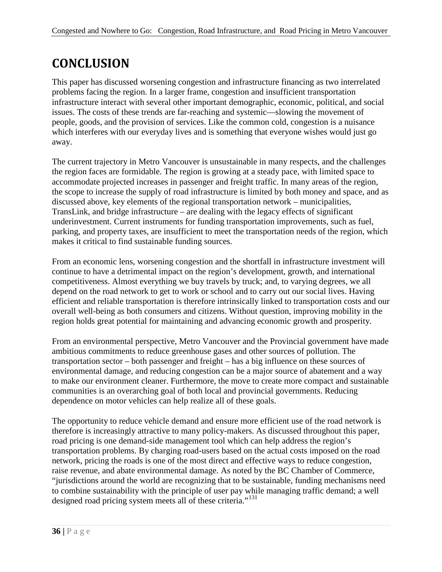# <span id="page-41-0"></span>**CONCLUSION**

This paper has discussed worsening congestion and infrastructure financing as two interrelated problems facing the region. In a larger frame, congestion and insufficient transportation infrastructure interact with several other important demographic, economic, political, and social issues. The costs of these trends are far-reaching and systemic—slowing the movement of people, goods, and the provision of services. Like the common cold, congestion is a nuisance which interferes with our everyday lives and is something that everyone wishes would just go away.

The current trajectory in Metro Vancouver is unsustainable in many respects, and the challenges the region faces are formidable. The region is growing at a steady pace, with limited space to accommodate projected increases in passenger and freight traffic. In many areas of the region, the scope to increase the supply of road infrastructure is limited by both money and space, and as discussed above, key elements of the regional transportation network – municipalities, TransLink, and bridge infrastructure – are dealing with the legacy effects of significant underinvestment. Current instruments for funding transportation improvements, such as fuel, parking, and property taxes, are insufficient to meet the transportation needs of the region, which makes it critical to find sustainable funding sources.

From an economic lens, worsening congestion and the shortfall in infrastructure investment will continue to have a detrimental impact on the region's development, growth, and international competitiveness. Almost everything we buy travels by truck; and, to varying degrees, we all depend on the road network to get to work or school and to carry out our social lives. Having efficient and reliable transportation is therefore intrinsically linked to transportation costs and our overall well-being as both consumers and citizens. Without question, improving mobility in the region holds great potential for maintaining and advancing economic growth and prosperity.

From an environmental perspective, Metro Vancouver and the Provincial government have made ambitious commitments to reduce greenhouse gases and other sources of pollution. The transportation sector – both passenger and freight – has a big influence on these sources of environmental damage, and reducing congestion can be a major source of abatement and a way to make our environment cleaner. Furthermore, the move to create more compact and sustainable communities is an overarching goal of both local and provincial governments. Reducing dependence on motor vehicles can help realize all of these goals.

The opportunity to reduce vehicle demand and ensure more efficient use of the road network is therefore is increasingly attractive to many policy-makers. As discussed throughout this paper, road pricing is one demand-side management tool which can help address the region's transportation problems. By charging road-users based on the actual costs imposed on the road network, pricing the roads is one of the most direct and effective ways to reduce congestion, raise revenue, and abate environmental damage. As noted by the BC Chamber of Commerce, "jurisdictions around the world are recognizing that to be sustainable, funding mechanisms need to combine sustainability with the principle of user pay while managing traffic demand; a well designed road pricing system meets all of these criteria."<sup>[131](#page-58-3)</sup>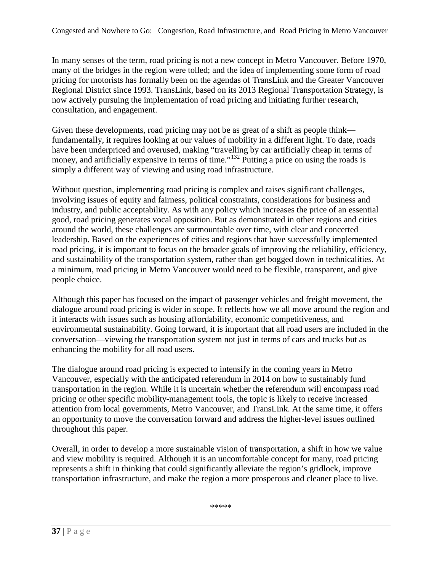In many senses of the term, road pricing is not a new concept in Metro Vancouver. Before 1970, many of the bridges in the region were tolled; and the idea of implementing some form of road pricing for motorists has formally been on the agendas of TransLink and the Greater Vancouver Regional District since 1993. TransLink, based on its 2013 Regional Transportation Strategy, is now actively pursuing the implementation of road pricing and initiating further research, consultation, and engagement.

Given these developments, road pricing may not be as great of a shift as people think fundamentally, it requires looking at our values of mobility in a different light. To date, roads have been underpriced and overused, making "travelling by car artificially cheap in terms of money, and artificially expensive in terms of time."<sup>[132](#page-58-28)</sup> Putting a price on using the roads is simply a different way of viewing and using road infrastructure.

Without question, implementing road pricing is complex and raises significant challenges, involving issues of equity and fairness, political constraints, considerations for business and industry, and public acceptability. As with any policy which increases the price of an essential good, road pricing generates vocal opposition. But as demonstrated in other regions and cities around the world, these challenges are surmountable over time, with clear and concerted leadership. Based on the experiences of cities and regions that have successfully implemented road pricing, it is important to focus on the broader goals of improving the reliability, efficiency, and sustainability of the transportation system, rather than get bogged down in technicalities. At a minimum, road pricing in Metro Vancouver would need to be flexible, transparent, and give people choice.

Although this paper has focused on the impact of passenger vehicles and freight movement, the dialogue around road pricing is wider in scope. It reflects how we all move around the region and it interacts with issues such as housing affordability, economic competitiveness, and environmental sustainability. Going forward, it is important that all road users are included in the conversation—viewing the transportation system not just in terms of cars and trucks but as enhancing the mobility for all road users.

The dialogue around road pricing is expected to intensify in the coming years in Metro Vancouver, especially with the anticipated referendum in 2014 on how to sustainably fund transportation in the region. While it is uncertain whether the referendum will encompass road pricing or other specific mobility-management tools, the topic is likely to receive increased attention from local governments, Metro Vancouver, and TransLink. At the same time, it offers an opportunity to move the conversation forward and address the higher-level issues outlined throughout this paper.

Overall, in order to develop a more sustainable vision of transportation, a shift in how we value and view mobility is required. Although it is an uncomfortable concept for many, road pricing represents a shift in thinking that could significantly alleviate the region's gridlock, improve transportation infrastructure, and make the region a more prosperous and cleaner place to live.

\*\*\*\*\*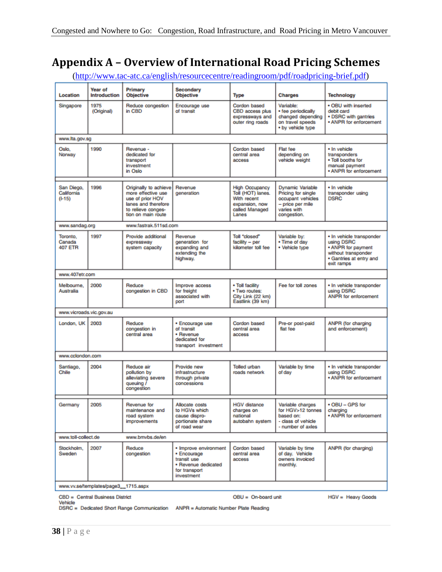# <span id="page-43-0"></span>**Appendix A – Overview of International Road Pricing Schemes**

[\(http://www.tac-atc.ca/english/resourcecentre/readingroom/pdf/roadpricing-brief.pdf\)](http://www.tac-atc.ca/english/resourcecentre/readingroom/pdf/roadpricing-brief.pdf)

| Location                               | Year of<br>Introduction             | Primary<br><b>Objective</b>                                                                                                        | Secondary<br><b>Objective</b>                                                                             | Type                                                                                                   | <b>Charges</b>                                                                                                | <b>Technology</b>                                                                                                            |  |
|----------------------------------------|-------------------------------------|------------------------------------------------------------------------------------------------------------------------------------|-----------------------------------------------------------------------------------------------------------|--------------------------------------------------------------------------------------------------------|---------------------------------------------------------------------------------------------------------------|------------------------------------------------------------------------------------------------------------------------------|--|
| Singapore                              | 1975<br>(Original)                  | Reduce congestion<br>in CBD                                                                                                        | Encourage use<br>of transit                                                                               | Cordon based<br>CBD access plus<br>expressways and<br>outer ring roads                                 | Variable:<br>• fee periodically<br>changed depending<br>on travel speeds<br>. by vehicle type                 | . OBU with inserted<br>debit card<br>• DSRC with gantries<br>. ANPR for enforcement                                          |  |
| www.lta.gov.sg                         |                                     |                                                                                                                                    |                                                                                                           |                                                                                                        |                                                                                                               |                                                                                                                              |  |
| Oslo.<br>Norway                        | 1990                                | Revenue -<br>dedicated for<br>transport<br>investment<br>in Oslo                                                                   |                                                                                                           | Cordon based<br>central area<br>access                                                                 | <b>Flat fee</b><br>depending on<br>vehicle weight                                                             | · In vehicle<br>transponders<br>. Toll booths for<br>manual payment<br>. ANPR for enforcement                                |  |
| San Diego.<br>California<br>$(I-15)$   | 1996                                | Originally to achieve<br>more effective use<br>use of prior HOV<br>lanes and therefore<br>to relieve conges-<br>tion on main route | Revenue<br>generation                                                                                     | <b>High Occupancy</b><br>Toll (HOT) lanes.<br>With recent<br>expansion, now<br>called Managed<br>Lanes | Dynamic Variable<br>Pricing for single<br>occupant vehicles<br>- price per mile<br>varies with<br>congestion. | • In vehicle<br>transponder using<br><b>DSRC</b>                                                                             |  |
| www.sandag.org                         |                                     | www.fastrak.511sd.com                                                                                                              |                                                                                                           |                                                                                                        |                                                                                                               |                                                                                                                              |  |
| Toronto.<br>Canada<br>407 ETR          | 1997                                | Provide additional<br>expressway<br>system capacity                                                                                | Revenue<br>generation for<br>expanding and<br>extending the<br>highway.                                   | <b>Toll "closed"</b><br>facility - per<br>kilometer toll fee                                           | Variable by:<br>• Time of day<br>• Vehicle type                                                               | · In vehicle transponder<br>using DSRC<br>. ANPR for payment<br>without transponder<br>· Gantries at entry and<br>exit ramps |  |
| www.407etr.com                         |                                     |                                                                                                                                    |                                                                                                           |                                                                                                        |                                                                                                               |                                                                                                                              |  |
| Melbourne.<br>Australia                | 2000                                | Reduce<br>congestion in CBD                                                                                                        | Improve access<br>for freight<br>associated with<br>port                                                  | • Toll facility<br>. Two routes:<br>City Link (22 km)<br>Eastlink (39 km)                              | Fee for toll zones                                                                                            | · In vehicle transponder<br>using DSRC<br><b>ANPR for enforcement</b>                                                        |  |
| www.vicroads.vic.gov.au                |                                     |                                                                                                                                    |                                                                                                           |                                                                                                        |                                                                                                               |                                                                                                                              |  |
| London, UK                             | 2003                                | Reduce<br>congestion in<br>central area                                                                                            | · Encourage use<br>of transit<br>• Revenue<br>dedicated for<br>transport investment                       | Cordon based<br>central area<br>access                                                                 | Pre-or post-paid<br>flat fee                                                                                  | ANPR (for charging<br>and enforcement)                                                                                       |  |
| www.cclondon.com                       |                                     |                                                                                                                                    |                                                                                                           |                                                                                                        |                                                                                                               |                                                                                                                              |  |
| Santiago,<br>Chile                     | 2004                                | Reduce air<br>pollution by<br>alleviating severe<br>queuing /<br>congestion                                                        | Provide new<br>infrastructure<br>through private<br>concessions                                           | Tolled urban<br>roads network                                                                          | Variable by time<br>of day                                                                                    | · In vehicle transponder<br>using DSRC<br>. ANPR for enforcement                                                             |  |
| Germany                                | 2005                                | Revenue for<br>maintenance and<br>road system<br>improvements                                                                      | Allocate costs<br>to HGVs which<br>cause dispro-<br>portionate share<br>of road wear                      | <b>HGV</b> distance<br>charges on<br>national<br>autobahn system                                       | Variable charges<br>for HGV>12 tonnes<br>based on:<br>- class of vehicle<br>- number of axles                 | . OBU - GPS for<br>charging<br>• ANPR for enforcement                                                                        |  |
| www.toll-collect.de<br>www.bmybs.de/en |                                     |                                                                                                                                    |                                                                                                           |                                                                                                        |                                                                                                               |                                                                                                                              |  |
| Stockholm.<br>Sweden                   | 2007                                | Reduce<br>congestion                                                                                                               | • Improve environment<br>· Encourage<br>transit use<br>· Revenue dedicated<br>for transport<br>investment | Cordon based<br>central area<br>access                                                                 | Variable by time<br>of day. Vehicle<br>owners invoiced<br>monthly.                                            | ANPR (for charging)                                                                                                          |  |
|                                        | www.vv.se/templates/page3_1715.aspx |                                                                                                                                    |                                                                                                           |                                                                                                        |                                                                                                               |                                                                                                                              |  |

CBD = Central Business District

OBU = On-board unit

HGV = Heavy Goods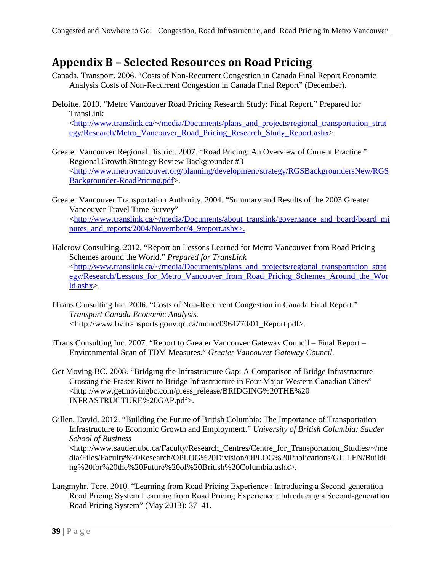# <span id="page-44-0"></span>**Appendix B – Selected Resources on Road Pricing**

- Canada, Transport. 2006. "Costs of Non-Recurrent Congestion in Canada Final Report Economic Analysis Costs of Non-Recurrent Congestion in Canada Final Report" (December).
- Deloitte. 2010. "Metro Vancouver Road Pricing Research Study: Final Report." Prepared for TransLink [<http://www.translink.ca/~/media/Documents/plans\\_and\\_projects/regional\\_transportation\\_strat](http://www.translink.ca/~/media/Documents/plans_and_projects/regional_transportation_strategy/Research/Metro_Vancouver_Road_Pricing_Research_Study_Report.ashx) [egy/Research/Metro\\_Vancouver\\_Road\\_Pricing\\_Research\\_Study\\_Report.ashx>](http://www.translink.ca/~/media/Documents/plans_and_projects/regional_transportation_strategy/Research/Metro_Vancouver_Road_Pricing_Research_Study_Report.ashx).
- Greater Vancouver Regional District. 2007. "Road Pricing: An Overview of Current Practice." Regional Growth Strategy Review Backgrounder #3 [<http://www.metrovancouver.org/planning/development/strategy/RGSBackgroundersNew/RGS](http://www.metrovancouver.org/planning/development/strategy/RGSBackgroundersNew/RGSBackgrounder-RoadPricing.pdf) [Backgrounder-RoadPricing.pdf>](http://www.metrovancouver.org/planning/development/strategy/RGSBackgroundersNew/RGSBackgrounder-RoadPricing.pdf).
- Greater Vancouver Transportation Authority. 2004. "Summary and Results of the 2003 Greater Vancouver Travel Time Survey" [<http://www.translink.ca/~/media/Documents/about\\_translink/governance\\_and\\_board/board\\_mi](http://www.translink.ca/~/media/Documents/about_translink/governance_and_board/board_minutes_and_reports/2004/November/4_9report.ashx) [nutes\\_and\\_reports/2004/November/4\\_9report.ashx>](http://www.translink.ca/~/media/Documents/about_translink/governance_and_board/board_minutes_and_reports/2004/November/4_9report.ashx).
- Halcrow Consulting. 2012. "Report on Lessons Learned for Metro Vancouver from Road Pricing Schemes around the World." *Prepared for TransLink* [<http://www.translink.ca/~/media/Documents/plans\\_and\\_projects/regional\\_transportation\\_strat](http://www.translink.ca/~/media/Documents/plans_and_projects/regional_transportation_strategy/Research/Lessons_for_Metro_Vancouver_from_Road_Pricing_Schemes_Around_the_World.ashx) egy/Research/Lessons for Metro Vancouver from Road Pricing Schemes Around the Wor [ld.ashx>](http://www.translink.ca/~/media/Documents/plans_and_projects/regional_transportation_strategy/Research/Lessons_for_Metro_Vancouver_from_Road_Pricing_Schemes_Around_the_World.ashx).
- ITrans Consulting Inc. 2006. "Costs of Non-Recurrent Congestion in Canada Final Report." *Transport Canada Economic Analysis. <*http://www.bv.transports.gouv.qc.ca/mono/0964770/01\_Report.pdf>.
- iTrans Consulting Inc. 2007. "Report to Greater Vancouver Gateway Council Final Report Environmental Scan of TDM Measures." *Greater Vancouver Gateway Council.*
- Get Moving BC. 2008. "Bridging the Infrastructure Gap: A Comparison of Bridge Infrastructure Crossing the Fraser River to Bridge Infrastructure in Four Major Western Canadian Cities" <http://www.getmovingbc.com/press\_release/BRIDGING%20THE%20 INFRASTRUCTURE%20GAP.pdf>.
- Gillen, David. 2012. "Building the Future of British Columbia: The Importance of Transportation Infrastructure to Economic Growth and Employment." *University of British Columbia: Sauder School of Business* <http://www.sauder.ubc.ca/Faculty/Research\_Centres/Centre\_for\_Transportation\_Studies/~/me dia/Files/Faculty%20Research/OPLOG%20Division/OPLOG%20Publications/GILLEN/Buildi ng%20for%20the%20Future%20of%20British%20Columbia.ashx>.
- Langmyhr, Tore. 2010. "Learning from Road Pricing Experience : Introducing a Second-generation Road Pricing System Learning from Road Pricing Experience : Introducing a Second-generation Road Pricing System" (May 2013): 37–41.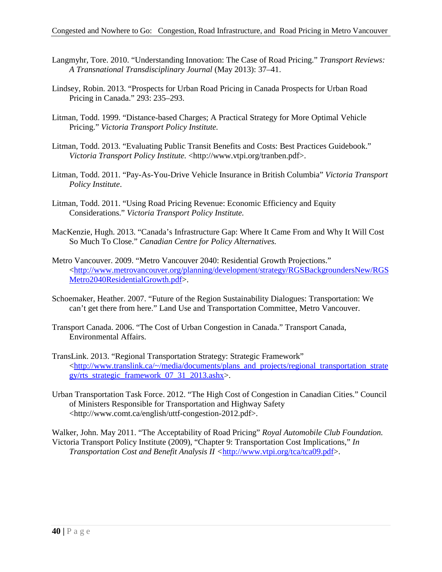- Langmyhr, Tore. 2010. "Understanding Innovation: The Case of Road Pricing." *Transport Reviews: A Transnational Transdisciplinary Journal* (May 2013): 37–41.
- Lindsey, Robin. 2013. "Prospects for Urban Road Pricing in Canada Prospects for Urban Road Pricing in Canada." 293: 235–293.
- Litman, Todd. 1999. "Distance-based Charges; A Practical Strategy for More Optimal Vehicle Pricing." *Victoria Transport Policy Institute.*
- Litman, Todd. 2013. "Evaluating Public Transit Benefits and Costs: Best Practices Guidebook." *Victoria Transport Policy Institute.* <http://www.vtpi.org/tranben.pdf>.
- Litman, Todd. 2011. "Pay-As-You-Drive Vehicle Insurance in British Columbia" *Victoria Transport Policy Institute*.
- Litman, Todd. 2011. "Using Road Pricing Revenue: Economic Efficiency and Equity Considerations." *Victoria Transport Policy Institute.*
- MacKenzie, Hugh. 2013. "Canada's Infrastructure Gap: Where It Came From and Why It Will Cost So Much To Close." *Canadian Centre for Policy Alternatives.*
- Metro Vancouver. 2009. "Metro Vancouver 2040: Residential Growth Projections." [<http://www.metrovancouver.org/planning/development/strategy/RGSBackgroundersNew/RGS](http://www.metrovancouver.org/planning/development/strategy/RGSBackgroundersNew/RGSMetro2040ResidentialGrowth.pdf) [Metro2040ResidentialGrowth.pdf>](http://www.metrovancouver.org/planning/development/strategy/RGSBackgroundersNew/RGSMetro2040ResidentialGrowth.pdf).
- Schoemaker, Heather. 2007. "Future of the Region Sustainability Dialogues: Transportation: We can't get there from here." Land Use and Transportation Committee, Metro Vancouver.
- Transport Canada. 2006. "The Cost of Urban Congestion in Canada." Transport Canada, Environmental Affairs.
- TransLink. 2013. "Regional Transportation Strategy: Strategic Framework" [<http://www.translink.ca/~/media/documents/plans\\_and\\_projects/regional\\_transportation\\_strate](http://www.translink.ca/~/media/documents/plans_and_projects/regional_transportation_strategy/rts_strategic_framework_07_31_2013.ashx) gy/rts strategic framework 07 31 2013.ashx>.
- Urban Transportation Task Force. 2012. "The High Cost of Congestion in Canadian Cities." Council of Ministers Responsible for Transportation and Highway Safety <http://www.comt.ca/english/uttf-congestion-2012.pdf>.

Walker, John. May 2011. "The Acceptability of Road Pricing" *Royal Automobile Club Foundation.*  Victoria Transport Policy Institute (2009), "Chapter 9: Transportation Cost Implications," *In Transportation Cost and Benefit Analysis II <*[http://www.vtpi.org/tca/tca09.pdf>](http://www.vtpi.org/tca/tca09.pdf).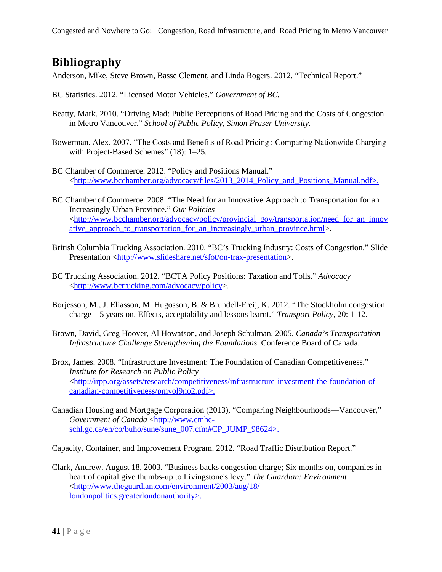# <span id="page-46-0"></span>**Bibliography**

Anderson, Mike, Steve Brown, Basse Clement, and Linda Rogers. 2012. "Technical Report."

- BC Statistics. 2012. "Licensed Motor Vehicles." *Government of BC.*
- Beatty, Mark. 2010. "Driving Mad: Public Perceptions of Road Pricing and the Costs of Congestion in Metro Vancouver." *School of Public Policy, Simon Fraser University.*
- Bowerman, Alex. 2007. "The Costs and Benefits of Road Pricing : Comparing Nationwide Charging with Project-Based Schemes" (18): 1–25.
- BC Chamber of Commerce. 2012. "Policy and Positions Manual." [<http://www.bcchamber.org/advocacy/files/2013\\_2014\\_Policy\\_and\\_Positions\\_Manual.pdf>](http://www.bcchamber.org/advocacy/files/2013_2014_Policy_and_Positions_Manual.pdf).
- BC Chamber of Commerce. 2008. "The Need for an Innovative Approach to Transportation for an Increasingly Urban Province." *Our Policies*  [<http://www.bcchamber.org/advocacy/policy/provincial\\_gov/transportation/need\\_for\\_an\\_innov](http://www.bcchamber.org/advocacy/policy/provincial_gov/transportation/need_for_an_innovative_approach_to_transportation_for_an_increasingly_urban_province.html) [ative\\_approach\\_to\\_transportation\\_for\\_an\\_increasingly\\_urban\\_province.html>](http://www.bcchamber.org/advocacy/policy/provincial_gov/transportation/need_for_an_innovative_approach_to_transportation_for_an_increasingly_urban_province.html).
- British Columbia Trucking Association. 2010. "BC's Trucking Industry: Costs of Congestion." Slide Presentation [<http://www.slideshare.net/sfot/on-trax-presentation>](http://www.slideshare.net/sfot/on-trax-presentation).
- BC Trucking Association. 2012. "BCTA Policy Positions: Taxation and Tolls." *Advocacy*  [<http://www.bctrucking.com/advocacy/policy>](http://www.bctrucking.com/advocacy/policy).
- Borjesson, M., J. Eliasson, M. Hugosson, B. & Brundell-Freij, K. 2012. "The Stockholm congestion charge – 5 years on. Effects, acceptability and lessons learnt." *Transport Policy*, 20: 1-12.
- Brown, David, Greg Hoover, Al Howatson, and Joseph Schulman. 2005. *Canada's Transportation Infrastructure Challenge Strengthening the Foundations*. Conference Board of Canada.
- Brox, James. 2008. "Infrastructure Investment: The Foundation of Canadian Competitiveness." *Institute for Research on Public Policy* [<http://irpp.org/assets/research/competitiveness/infrastructure-investment-the-foundation-of](http://irpp.org/assets/research/competitiveness/infrastructure-investment-the-foundation-of-canadian-competitiveness/pmvol9no2.pdf)[canadian-competitiveness/pmvol9no2.pdf>](http://irpp.org/assets/research/competitiveness/infrastructure-investment-the-foundation-of-canadian-competitiveness/pmvol9no2.pdf).
- Canadian Housing and Mortgage Corporation (2013), "Comparing Neighbourhoods—Vancouver," *Government of Canada* [<http://www.cmhc](http://www.cmhc-schl.gc.ca/en/co/buho/sune/sune_007.cfm#CP_JUMP_98624)[schl.gc.ca/en/co/buho/sune/sune\\_007.cfm#CP\\_JUMP\\_98624>](http://www.cmhc-schl.gc.ca/en/co/buho/sune/sune_007.cfm#CP_JUMP_98624).

Capacity, Container, and Improvement Program. 2012. "Road Traffic Distribution Report."

Clark, Andrew. August 18, 2003. "Business backs congestion charge; Six months on, companies in heart of capital give thumbs-up to Livingstone's levy." *The Guardian: Environment* [<http://www.theguardian.com/environment/2003/aug/18/](http://www.theguardian.com/environment/2003/aug/18/%20londonpolitics.greaterlondonauthority)  [londonpolitics.greaterlondonauthority>](http://www.theguardian.com/environment/2003/aug/18/%20londonpolitics.greaterlondonauthority).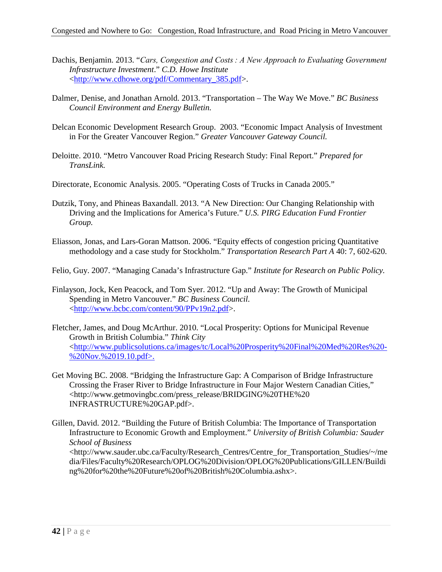- Dachis, Benjamin. 2013. "*Cars, Congestion and Costs : A New Approach to Evaluating Government Infrastructure Investment*." *C.D. Howe Institute* [<http://www.cdhowe.org/pdf/Commentary\\_385.pdf>](http://www.cdhowe.org/pdf/Commentary_385.pdf).
- Dalmer, Denise, and Jonathan Arnold. 2013. "Transportation The Way We Move." *BC Business Council Environment and Energy Bulletin.*
- Delcan Economic Development Research Group. 2003. "Economic Impact Analysis of Investment in For the Greater Vancouver Region." *Greater Vancouver Gateway Council.*
- Deloitte. 2010. "Metro Vancouver Road Pricing Research Study: Final Report." *Prepared for TransLink.*
- Directorate, Economic Analysis. 2005. "Operating Costs of Trucks in Canada 2005."
- Dutzik, Tony, and Phineas Baxandall. 2013. "A New Direction: Our Changing Relationship with Driving and the Implications for America's Future." *U.S. PIRG Education Fund Frontier Group.*
- Eliasson, Jonas, and Lars-Goran Mattson. 2006. "Equity effects of congestion pricing Quantitative methodology and a case study for Stockholm." *Transportation Research Part A* 40: 7, 602-620.

Felio, Guy. 2007. "Managing Canada's Infrastructure Gap." *Institute for Research on Public Policy.*

- Finlayson, Jock, Ken Peacock, and Tom Syer. 2012. "Up and Away: The Growth of Municipal Spending in Metro Vancouver." *BC Business Council.* [<http://www.bcbc.com/content/90/PPv19n2.pdf>](http://www.bcbc.com/content/90/PPv19n2.pdf).
- Fletcher, James, and Doug McArthur. 2010. "Local Prosperity: Options for Municipal Revenue Growth in British Columbia." *Think City* [<http://www.publicsolutions.ca/images/tc/Local%20Prosperity%20Final%20Med%20Res%20-](http://www.publicsolutions.ca/images/tc/Local%20Prosperity%20Final%20Med%20Res%20-%20Nov.%2019.10.pdf) [%20Nov.%2019.10.pdf>](http://www.publicsolutions.ca/images/tc/Local%20Prosperity%20Final%20Med%20Res%20-%20Nov.%2019.10.pdf).
- Get Moving BC. 2008. "Bridging the Infrastructure Gap: A Comparison of Bridge Infrastructure Crossing the Fraser River to Bridge Infrastructure in Four Major Western Canadian Cities," <http://www.getmovingbc.com/press\_release/BRIDGING%20THE%20 INFRASTRUCTURE%20GAP.pdf>.
- Gillen, David. 2012. "Building the Future of British Columbia: The Importance of Transportation Infrastructure to Economic Growth and Employment." *University of British Columbia: Sauder School of Business* <http://www.sauder.ubc.ca/Faculty/Research\_Centres/Centre\_for\_Transportation\_Studies/~/me dia/Files/Faculty%20Research/OPLOG%20Division/OPLOG%20Publications/GILLEN/Buildi ng%20for%20the%20Future%20of%20British%20Columbia.ashx>.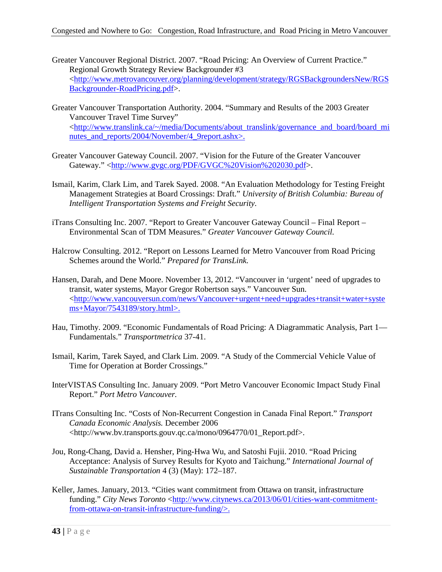- Greater Vancouver Regional District. 2007. "Road Pricing: An Overview of Current Practice." Regional Growth Strategy Review Backgrounder #3 [<http://www.metrovancouver.org/planning/development/strategy/RGSBackgroundersNew/RGS](http://www.metrovancouver.org/planning/development/strategy/RGSBackgroundersNew/RGSBackgrounder-RoadPricing.pdf) [Backgrounder-RoadPricing.pdf>](http://www.metrovancouver.org/planning/development/strategy/RGSBackgroundersNew/RGSBackgrounder-RoadPricing.pdf).
- Greater Vancouver Transportation Authority. 2004. "Summary and Results of the 2003 Greater Vancouver Travel Time Survey" [<http://www.translink.ca/~/media/Documents/about\\_translink/governance\\_and\\_board/board\\_mi](http://www.translink.ca/~/media/Documents/about_translink/governance_and_board/board_minutes_and_reports/2004/November/4_9report.ashx) nutes and reports/2004/November/4 9report.ashx>.
- Greater Vancouver Gateway Council. 2007. "Vision for the Future of the Greater Vancouver Gateway." [<http://www.gvgc.org/PDF/GVGC%20Vision%202030.pdf>](http://www.gvgc.org/PDF/GVGC%20Vision%202030.pdf).
- Ismail, Karim, Clark Lim, and Tarek Sayed. 2008. "An Evaluation Methodology for Testing Freight Management Strategies at Board Crossings: Draft." *University of British Columbia: Bureau of Intelligent Transportation Systems and Freight Security.*
- iTrans Consulting Inc. 2007. "Report to Greater Vancouver Gateway Council Final Report Environmental Scan of TDM Measures." *Greater Vancouver Gateway Council.*
- Halcrow Consulting. 2012. "Report on Lessons Learned for Metro Vancouver from Road Pricing Schemes around the World." *Prepared for TransLink.*
- Hansen, Darah, and Dene Moore. November 13, 2012. "Vancouver in 'urgent' need of upgrades to transit, water systems, Mayor Gregor Robertson says." Vancouver Sun. [<http://www.vancouversun.com/news/Vancouver+urgent+need+upgrades+transit+water+syste](http://www.vancouversun.com/news/Vancouver+urgent+need+upgrades+transit+water+systems+Mayor/7543189/story.html) [ms+Mayor/7543189/story.html>](http://www.vancouversun.com/news/Vancouver+urgent+need+upgrades+transit+water+systems+Mayor/7543189/story.html).
- Hau, Timothy. 2009. "Economic Fundamentals of Road Pricing: A Diagrammatic Analysis, Part 1— Fundamentals." *Transportmetrica* 37-41.
- Ismail, Karim, Tarek Sayed, and Clark Lim. 2009. "A Study of the Commercial Vehicle Value of Time for Operation at Border Crossings."
- InterVISTAS Consulting Inc. January 2009. "Port Metro Vancouver Economic Impact Study Final Report." *Port Metro Vancouver.*
- ITrans Consulting Inc. "Costs of Non-Recurrent Congestion in Canada Final Report." *Transport Canada Economic Analysis.* December 2006 <http://www.bv.transports.gouv.qc.ca/mono/0964770/01\_Report.pdf>.
- Jou, Rong-Chang, David a. Hensher, Ping-Hwa Wu, and Satoshi Fujii. 2010. "Road Pricing Acceptance: Analysis of Survey Results for Kyoto and Taichung." *International Journal of Sustainable Transportation* 4 (3) (May): 172–187.
- Keller, James. January, 2013. "Cities want commitment from Ottawa on transit, infrastructure funding." City News Toronto [<http://www.citynews.ca/2013/06/01/cities-want-commitment](http://www.citynews.ca/2013/06/01/cities-want-commitment-from-ottawa-on-transit-infrastructure-funding/)[from-ottawa-on-transit-infrastructure-funding/>](http://www.citynews.ca/2013/06/01/cities-want-commitment-from-ottawa-on-transit-infrastructure-funding/).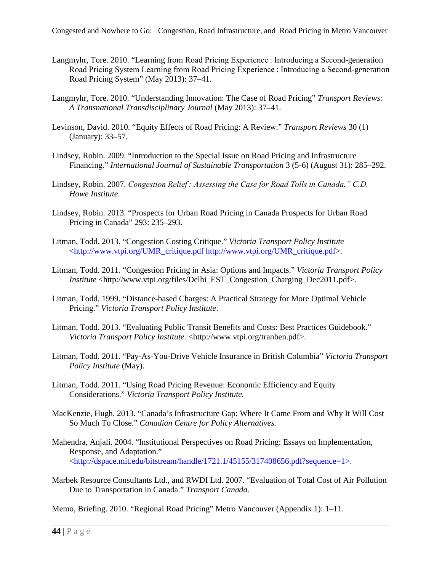- Langmyhr, Tore. 2010. "Learning from Road Pricing Experience : Introducing a Second-generation Road Pricing System Learning from Road Pricing Experience : Introducing a Second-generation Road Pricing System" (May 2013): 37–41.
- Langmyhr, Tore. 2010. "Understanding Innovation: The Case of Road Pricing" *Transport Reviews: A Transnational Transdisciplinary Journal* (May 2013): 37–41.
- Levinson, David. 2010. "Equity Effects of Road Pricing: A Review." *Transport Reviews* 30 (1) (January): 33–57.
- Lindsey, Robin. 2009. "Introduction to the Special Issue on Road Pricing and Infrastructure Financing." *International Journal of Sustainable Transportation* 3 (5-6) (August 31): 285–292.
- Lindsey, Robin. 2007. *Congestion Relief : Assessing the Case for Road Tolls in Canada." C.D. Howe Institute.*
- Lindsey, Robin. 2013. "Prospects for Urban Road Pricing in Canada Prospects for Urban Road Pricing in Canada" 293: 235–293.
- Litman, Todd. 2013. "Congestion Costing Critique." *Victoria Transport Policy Institute* [<http://www.vtpi.org/UMR\\_critique.pdf](http://www.vtpi.org/UMR_critique.pdf) [http://www.vtpi.org/UMR\\_critique.pdf>](http://www.vtpi.org/UMR_critique.pdf).
- Litman, Todd. 2011. "Congestion Pricing in Asia: Options and Impacts." *Victoria Transport Policy Institute* <http://www.vtpi.org/files/Delhi\_EST\_Congestion\_Charging\_Dec2011.pdf>.
- Litman, Todd. 1999. "Distance-based Charges: A Practical Strategy for More Optimal Vehicle Pricing." *Victoria Transport Policy Institute*.
- Litman, Todd. 2013. "Evaluating Public Transit Benefits and Costs: Best Practices Guidebook." *Victoria Transport Policy Institute.* <http://www.vtpi.org/tranben.pdf>.
- Litman, Todd. 2011. "Pay-As-You-Drive Vehicle Insurance in British Columbia" *Victoria Transport Policy Institute* (May).
- Litman, Todd. 2011. "Using Road Pricing Revenue: Economic Efficiency and Equity Considerations." *Victoria Transport Policy Institute.*
- MacKenzie, Hugh. 2013. "Canada's Infrastructure Gap: Where It Came From and Why It Will Cost So Much To Close." *Canadian Centre for Policy Alternatives.*
- Mahendra, Anjali. 2004. "Institutional Perspectives on Road Pricing: Essays on Implementation, Response, and Adaptation." [<http://dspace.mit.edu/bitstream/handle/1721.1/45155/317408656.pdf?sequence=1>](http://dspace.mit.edu/bitstream/handle/1721.1/45155/317408656.pdf?sequence=1).
- Marbek Resource Consultants Ltd., and RWDI Ltd. 2007. "Evaluation of Total Cost of Air Pollution Due to Transportation in Canada." *Transport Canada.*

Memo, Briefing. 2010. "Regional Road Pricing" Metro Vancouver (Appendix 1): 1–11.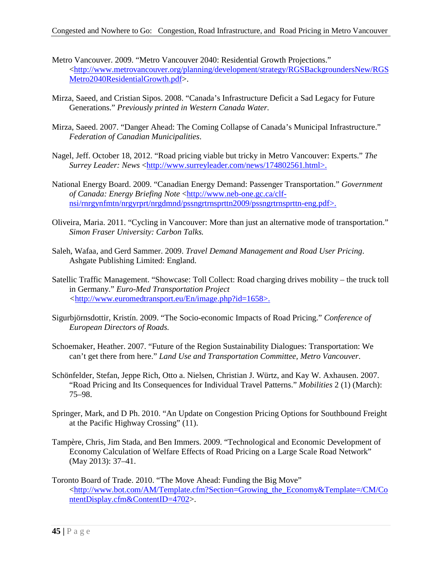- Metro Vancouver. 2009. "Metro Vancouver 2040: Residential Growth Projections." [<http://www.metrovancouver.org/planning/development/strategy/RGSBackgroundersNew/RGS](http://www.metrovancouver.org/planning/development/strategy/RGSBackgroundersNew/RGSMetro2040ResidentialGrowth.pdf) [Metro2040ResidentialGrowth.pdf>](http://www.metrovancouver.org/planning/development/strategy/RGSBackgroundersNew/RGSMetro2040ResidentialGrowth.pdf).
- Mirza, Saeed, and Cristian Sipos. 2008. "Canada's Infrastructure Deficit a Sad Legacy for Future Generations." *Previously printed in Western Canada Water.*
- Mirza, Saeed. 2007. "Danger Ahead: The Coming Collapse of Canada's Municipal Infrastructure." *Federation of Canadian Municipalities*.
- Nagel, Jeff. October 18, 2012. "Road pricing viable but tricky in Metro Vancouver: Experts." *The Surrey Leader: News* [<http://www.surreyleader.com/news/174802561.html>](http://www.surreyleader.com/news/174802561.html).
- National Energy Board. 2009. "Canadian Energy Demand: Passenger Transportation." *Government of Canada: Energy Briefing Note* [<http://www.neb-one.gc.ca/clf](http://www.neb-one.gc.ca/clf-nsi/rnrgynfmtn/nrgyrprt/nrgdmnd/pssngrtrnsprttn2009/pssngrtrnsprttn-eng.pdf)[nsi/rnrgynfmtn/nrgyrprt/nrgdmnd/pssngrtrnsprttn2009/pssngrtrnsprttn-eng.pdf>](http://www.neb-one.gc.ca/clf-nsi/rnrgynfmtn/nrgyrprt/nrgdmnd/pssngrtrnsprttn2009/pssngrtrnsprttn-eng.pdf).
- Oliveira, Maria. 2011. "Cycling in Vancouver: More than just an alternative mode of transportation." *Simon Fraser University: Carbon Talks.*
- Saleh, Wafaa, and Gerd Sammer. 2009. *Travel Demand Management and Road User Pricing*. Ashgate Publishing Limited: England.
- Satellic Traffic Management. "Showcase: Toll Collect: Road charging drives mobility the truck toll in Germany." *Euro-Med Transportation Project <*[http://www.euromedtransport.eu/En/image.php?id=1658>](http://www.euromedtransport.eu/En/image.php?id=1658).
- Sigurbjörnsdottir, Kristín. 2009. "The Socio-economic Impacts of Road Pricing." *Conference of European Directors of Roads.*
- Schoemaker, Heather. 2007. "Future of the Region Sustainability Dialogues: Transportation: We can't get there from here." *Land Use and Transportation Committee, Metro Vancouver*.
- Schönfelder, Stefan, Jeppe Rich, Otto a. Nielsen, Christian J. Würtz, and Kay W. Axhausen. 2007. "Road Pricing and Its Consequences for Individual Travel Patterns." *Mobilities* 2 (1) (March): 75–98.
- Springer, Mark, and D Ph. 2010. "An Update on Congestion Pricing Options for Southbound Freight at the Pacific Highway Crossing" (11).
- Tampère, Chris, Jim Stada, and Ben Immers. 2009. "Technological and Economic Development of Economy Calculation of Welfare Effects of Road Pricing on a Large Scale Road Network" (May 2013): 37–41.
- Toronto Board of Trade. 2010. "The Move Ahead: Funding the Big Move" [<http://www.bot.com/AM/Template.cfm?Section=Growing\\_the\\_Economy&Template=/CM/Co](http://www.bot.com/AM/Template.cfm?Section=Growing_the_Economy&Template=/CM/ContentDisplay.cfm&ContentID=4702) [ntentDisplay.cfm&ContentID=4702>](http://www.bot.com/AM/Template.cfm?Section=Growing_the_Economy&Template=/CM/ContentDisplay.cfm&ContentID=4702).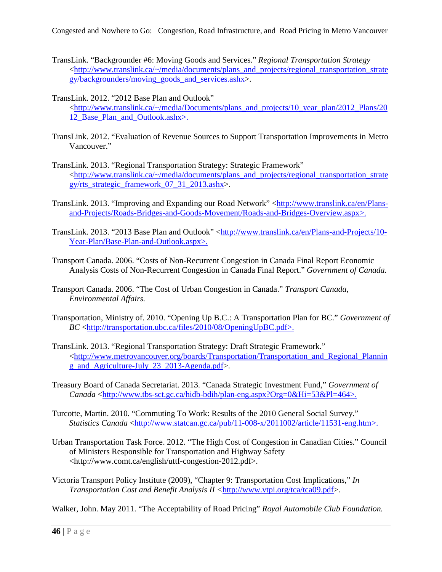- TransLink. "Backgrounder #6: Moving Goods and Services." *Regional Transportation Strategy* [<http://www.translink.ca/~/media/documents/plans\\_and\\_projects/regional\\_transportation\\_strate](http://www.translink.ca/~/media/documents/plans_and_projects/regional_transportation_strategy/backgrounders/moving_goods_and_services.ashx) [gy/backgrounders/moving\\_goods\\_and\\_services.ashx>](http://www.translink.ca/~/media/documents/plans_and_projects/regional_transportation_strategy/backgrounders/moving_goods_and_services.ashx).
- TransLink. 2012. "2012 Base Plan and Outlook" [<http://www.translink.ca/~/media/Documents/plans\\_and\\_projects/10\\_year\\_plan/2012\\_Plans/20](http://www.translink.ca/~/media/Documents/plans_and_projects/10_year_plan/2012_Plans/2012_Base_Plan_and_Outlook.ashx) 12 Base Plan and Outlook.ashx>.
- TransLink. 2012. "Evaluation of Revenue Sources to Support Transportation Improvements in Metro Vancouver."
- TransLink. 2013. "Regional Transportation Strategy: Strategic Framework" [<http://www.translink.ca/~/media/documents/plans\\_and\\_projects/regional\\_transportation\\_strate](http://www.translink.ca/~/media/documents/plans_and_projects/regional_transportation_strategy/rts_strategic_framework_07_31_2013.ashx) [gy/rts\\_strategic\\_framework\\_07\\_31\\_2013.ashx>](http://www.translink.ca/~/media/documents/plans_and_projects/regional_transportation_strategy/rts_strategic_framework_07_31_2013.ashx).
- TransLink. 2013. "Improving and Expanding our Road Network" [<http://www.translink.ca/en/Plans](http://www.translink.ca/en/Plans-and-Projects/Roads-Bridges-and-Goods-Movement/Roads-and-Bridges-Overview.aspx)[and-Projects/Roads-Bridges-and-Goods-Movement/Roads-and-Bridges-Overview.aspx>](http://www.translink.ca/en/Plans-and-Projects/Roads-Bridges-and-Goods-Movement/Roads-and-Bridges-Overview.aspx).
- TransLink. 2013. "2013 Base Plan and Outlook" [<http://www.translink.ca/en/Plans-and-Projects/10-](http://www.translink.ca/en/Plans-and-Projects/10-Year-Plan/Base-Plan-and-Outlook.aspx) [Year-Plan/Base-Plan-and-Outlook.aspx>](http://www.translink.ca/en/Plans-and-Projects/10-Year-Plan/Base-Plan-and-Outlook.aspx).
- Transport Canada. 2006. "Costs of Non-Recurrent Congestion in Canada Final Report Economic Analysis Costs of Non-Recurrent Congestion in Canada Final Report." *Government of Canada.*
- Transport Canada. 2006. "The Cost of Urban Congestion in Canada." *Transport Canada, Environmental Affairs.*
- Transportation, Ministry of. 2010. "Opening Up B.C.: A Transportation Plan for BC." *Government of BC* [<http://transportation.ubc.ca/files/2010/08/OpeningUpBC.pdf>](http://transportation.ubc.ca/files/2010/08/OpeningUpBC.pdf).
- TransLink. 2013. "Regional Transportation Strategy: Draft Strategic Framework." [<http://www.metrovancouver.org/boards/Transportation/Transportation\\_and\\_Regional\\_Plannin](http://www.metrovancouver.org/boards/Transportation/Transportation_and_Regional_Planning_and_Agriculture-July_23_2013-Agenda.pdf) [g\\_and\\_Agriculture-July\\_23\\_2013-Agenda.pdf>](http://www.metrovancouver.org/boards/Transportation/Transportation_and_Regional_Planning_and_Agriculture-July_23_2013-Agenda.pdf).
- Treasury Board of Canada Secretariat. 2013. "Canada Strategic Investment Fund," *Government of Canada* [<http://www.tbs-sct.gc.ca/hidb-bdih/plan-eng.aspx?Org=0&Hi=53&Pl=464>](http://www.tbs-sct.gc.ca/hidb-bdih/plan-eng.aspx?Org=0&Hi=53&Pl=464).
- Turcotte, Martin. 2010. "Commuting To Work: Results of the 2010 General Social Survey." *Statistics Canada* [<http://www.statcan.gc.ca/pub/11-008-x/2011002/article/11531-eng.htm>](http://www.statcan.gc.ca/pub/11-008-x/2011002/article/11531-eng.htm).
- Urban Transportation Task Force. 2012. "The High Cost of Congestion in Canadian Cities." Council of Ministers Responsible for Transportation and Highway Safety <http://www.comt.ca/english/uttf-congestion-2012.pdf>.
- Victoria Transport Policy Institute (2009), "Chapter 9: Transportation Cost Implications," *In Transportation Cost and Benefit Analysis II <*[http://www.vtpi.org/tca/tca09.pdf>](http://www.vtpi.org/tca/tca09.pdf).

Walker, John. May 2011. "The Acceptability of Road Pricing" *Royal Automobile Club Foundation.*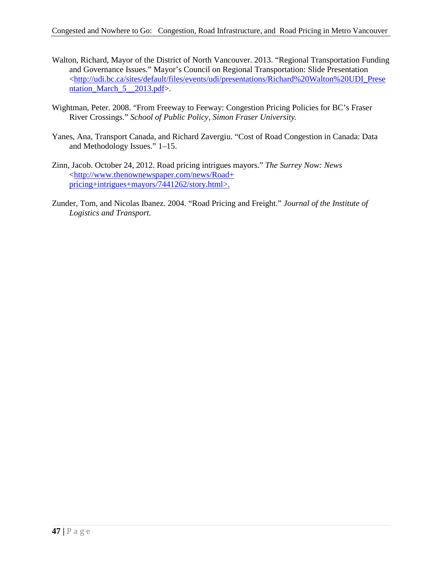- Walton, Richard, Mayor of the District of North Vancouver. 2013. "Regional Transportation Funding and Governance Issues." Mayor's Council on Regional Transportation: Slide Presentation [<http://udi.bc.ca/sites/default/files/events/udi/presentations/Richard%20Walton%20UDI\\_Prese](http://udi.bc.ca/sites/default/files/events/udi/presentations/Richard%20Walton%20UDI_Presentation_March_5__2013.pdf) ntation March  $5$  2013.pdf>.
- Wightman, Peter. 2008. "From Freeway to Feeway: Congestion Pricing Policies for BC's Fraser River Crossings." *School of Public Policy, Simon Fraser University.*
- Yanes, Ana, Transport Canada, and Richard Zavergiu. "Cost of Road Congestion in Canada: Data and Methodology Issues." 1–15.
- Zinn, Jacob. October 24, 2012. Road pricing intrigues mayors." *The Surrey Now: News* [<http://www.thenownewspaper.com/news/Road+](http://www.thenownewspaper.com/news/Road+%20pricing+intrigues+mayors/7441262/story.html)  [pricing+intrigues+mayors/7441262/story.html>](http://www.thenownewspaper.com/news/Road+%20pricing+intrigues+mayors/7441262/story.html).
- Zunder, Tom, and Nicolas Ibanez. 2004. "Road Pricing and Freight." *Journal of the Institute of Logistics and Transport.*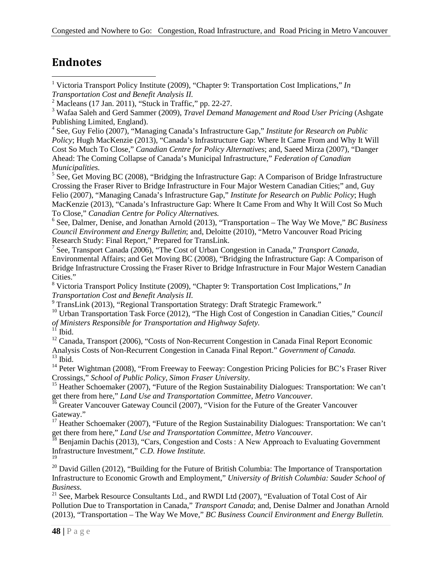# <span id="page-53-2"></span>**Endnotes**

<span id="page-53-0"></span> 1 Victoria Transport Policy Institute (2009), "Chapter 9: Transportation Cost Implications," *In Transportation Cost and Benefit Analysis II.*

<sup>3</sup> Wafaa Saleh and Gerd Sammer (2009), *Travel Demand Management and Road User Pricing* (Ashgate Publishing Limited, England).

<sup>4</sup> See, Guy Felio (2007), "Managing Canada's Infrastructure Gap," *Institute for Research on Public Policy*; Hugh MacKenzie (2013), "Canada's Infrastructure Gap: Where It Came From and Why It Will Cost So Much To Close," *Canadian Centre for Policy Alternatives*; and, Saeed Mirza (2007), "Danger Ahead: The Coming Collapse of Canada's Municipal Infrastructure," *Federation of Canadian Municipalities.*

 $5$  See, Get Moving BC (2008), "Bridging the Infrastructure Gap: A Comparison of Bridge Infrastructure Crossing the Fraser River to Bridge Infrastructure in Four Major Western Canadian Cities;" and, Guy Felio (2007), "Managing Canada's Infrastructure Gap," *Institute for Research on Public Policy*; Hugh MacKenzie (2013), "Canada's Infrastructure Gap: Where It Came From and Why It Will Cost So Much To Close," *Canadian Centre for Policy Alternatives.*

<sup>6</sup> See, Dalmer, Denise, and Jonathan Arnold (2013), "Transportation – The Way We Move," *BC Business Council Environment and Energy Bulletin*; and, Deloitte (2010), "Metro Vancouver Road Pricing Research Study: Final Report," Prepared for TransLink.

<sup>7</sup> See, Transport Canada (2006), "The Cost of Urban Congestion in Canada," *Transport Canada*, Environmental Affairs; and Get Moving BC (2008), "Bridging the Infrastructure Gap: A Comparison of Bridge Infrastructure Crossing the Fraser River to Bridge Infrastructure in Four Major Western Canadian Cities."

<sup>8</sup> Victoria Transport Policy Institute (2009), "Chapter 9: Transportation Cost Implications," *In Transportation Cost and Benefit Analysis II.*

<sup>9</sup> TransLink (2013), "Regional Transportation Strategy: Draft Strategic Framework."

<sup>10</sup> Urban Transportation Task Force (2012), "The High Cost of Congestion in Canadian Cities," *Council of Ministers Responsible for Transportation and Highway Safety.*

 $1^{\overline{1}}$  Ibid.

<sup>12</sup> Canada, Transport (2006), "Costs of Non-Recurrent Congestion in Canada Final Report Economic Analysis Costs of Non-Recurrent Congestion in Canada Final Report." *Government of Canada.*  $^{13}$  Ibid.

<sup>14</sup> Peter Wightman (2008), "From Freeway to Feeway: Congestion Pricing Policies for BC's Fraser River Crossings," School of Public Policy, Simon Fraser University.

<sup>15</sup> Heather Schoemaker (2007), "Future of the Region Sustainability Dialogues: Transportation: We can't get there from here," *Land Use and Transportation Committee, Metro Vancouver.* 

<sup>16</sup> Greater Vancouver Gateway Council (2007), "Vision for the Future of the Greater Vancouver Gateway."

<sup>17</sup> Heather Schoemaker (2007), "Future of the Region Sustainability Dialogues: Transportation: We can't get there from here," *Land Use and Transportation Committee, Metro Vancouver.* 

<sup>18</sup> Benjamin Dachis (2013), "Cars, Congestion and Costs : A New Approach to Evaluating Government Infrastructure Investment," *C.D. Howe Institute.* 

19

 $^{20}$  David Gillen (2012), "Building for the Future of British Columbia: The Importance of Transportation Infrastructure to Economic Growth and Employment," *University of British Columbia: Sauder School of Business.* 

<sup>21</sup> See. Marbek Resource Consultants Ltd., and RWDI Ltd (2007), "Evaluation of Total Cost of Air Pollution Due to Transportation in Canada," *Transport Canada*; and, Denise Dalmer and Jonathan Arnold (2013), "Transportation – The Way We Move," *BC Business Council Environment and Energy Bulletin.*

<span id="page-53-1"></span> $2$  Macleans (17 Jan. 2011), "Stuck in Traffic," pp. 22-27.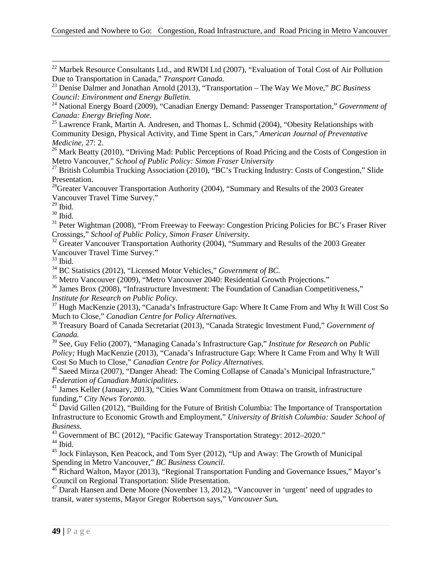<sup>22</sup> Marbek Resource Consultants Ltd., and RWDI Ltd (2007), "Evaluation of Total Cost of Air Pollution Due to Transportation in Canada," *Transport Canada.* 

<span id="page-54-0"></span><sup>24</sup> National Energy Board (2009), "Canadian Energy Demand: Passenger Transportation," *Government of Canada: Energy Briefing Note.*

<span id="page-54-1"></span><sup>25</sup> Lawrence Frank, Martin A. Andresen, and Thomas L. Schmid (2004), "Obesity Relationships with Community Design, Physical Activity, and Time Spent in Cars," *American Journal of Preventative Medicine*, 27: 2.

<sup>26</sup> Mark Beatty (2010), "Driving Mad: Public Perceptions of Road Pricing and the Costs of Congestion in Metro Vancouver," *School of Public Policy: Simon Fraser University*

<span id="page-54-2"></span><sup>27</sup> British Columbia Trucking Association (2010), "BC's Trucking Industry: Costs of Congestion," Slide Presentation.

<sup>28</sup>Greater Vancouver Transportation Authority (2004), "Summary and Results of the 2003 Greater Vancouver Travel Time Survey."

 $29$  Ibid.

 $30$  Ibid.

<span id="page-54-3"></span><sup>31</sup> Peter Wightman (2008), "From Freeway to Feeway: Congestion Pricing Policies for BC's Fraser River Crossings," *School of Public Policy, Simon Fraser University.*

<span id="page-54-4"></span><sup>32</sup> Greater Vancouver Transportation Authority (2004), "Summary and Results of the 2003 Greater Vancouver Travel Time Survey."

 $33$  Ibid.

<sup>34</sup> BC Statistics (2012), "Licensed Motor Vehicles," *Government of BC.*

<sup>35</sup> Metro Vancouver (2009), "Metro Vancouver 2040: Residential Growth Projections."

<sup>36</sup> James Brox (2008), "Infrastructure Investment: The Foundation of Canadian Competitiveness," *Institute for Research on Public Policy.*

 $37$  Hugh MacKenzie (2013), "Canada's Infrastructure Gap: Where It Came From and Why It Will Cost So Much to Close," *Canadian Centre for Policy Alternatives.*

<sup>38</sup> Treasury Board of Canada Secretariat (2013), "Canada Strategic Investment Fund," *Government of Canada.*

<sup>39</sup> See, Guy Felio (2007), "Managing Canada's Infrastructure Gap," *Institute for Research on Public Policy;* Hugh MacKenzie (2013), "Canada's Infrastructure Gap: Where It Came From and Why It Will Cost So Much to Close," *Canadian Centre for Policy Alternatives.*

<sup>40</sup> Saeed Mirza (2007), "Danger Ahead: The Coming Collapse of Canada's Municipal Infrastructure," *Federation of Canadian Municipalities*. <sup>41</sup> James Keller (January, 2013), "Cities Want Commitment from Ottawa on transit, infrastructure

funding," *City News Toronto.*

<sup>42</sup> David Gillen (2012), "Building for the Future of British Columbia: The Importance of Transportation Infrastructure to Economic Growth and Employment," *University of British Columbia: Sauder School of Business.*

<sup>43</sup> Government of BC (2012), "Pacific Gateway Transportation Strategy: 2012–2020."

 $44$  Ibid.

<sup>45</sup> Jock Finlayson, Ken Peacock, and Tom Syer (2012), "Up and Away: The Growth of Municipal Spending in Metro Vancouver," *BC Business Council.*

 $^{46}$  Richard Walton, Mayor (2013), "Regional Transportation Funding and Governance Issues," Mayor's Council on Regional Transportation: Slide Presentation.

 $47$  Darah Hansen and Dene Moore (November 13, 2012), "Vancouver in 'urgent' need of upgrades to transit, water systems, Mayor Gregor Robertson says," *Vancouver Sun.*

<sup>23</sup> Denise Dalmer and Jonathan Arnold (2013), "Transportation – The Way We Move," *BC Business Council: Environment and Energy Bulletin.*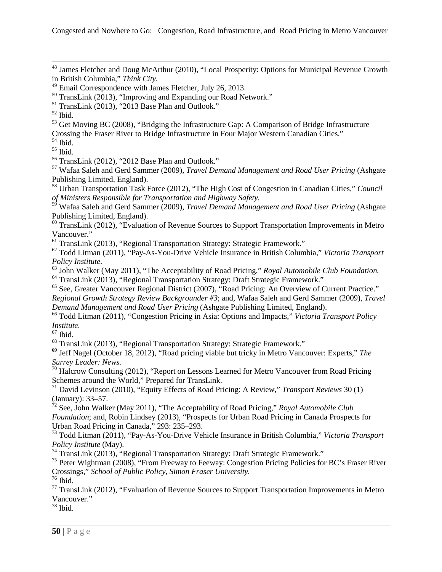<sup>48</sup> James Fletcher and Doug McArthur (2010), "Local Prosperity: Options for Municipal Revenue Growth in British Columbia," *Think City.*

<sup>53</sup> Get Moving BC (2008), "Bridging the Infrastructure Gap: A Comparison of Bridge Infrastructure Crossing the Fraser River to Bridge Infrastructure in Four Major Western Canadian Cities."

<sup>54</sup> Ibid.

 $55$  Ibid.

<sup>56</sup> TransLink (2012), "2012 Base Plan and Outlook."

<sup>57</sup> Wafaa Saleh and Gerd Sammer (2009), *Travel Demand Management and Road User Pricing* (Ashgate Publishing Limited, England).

<sup>58</sup> Urban Transportation Task Force (2012), "The High Cost of Congestion in Canadian Cities," *Council of Ministers Responsible for Transportation and Highway Safety.*

<sup>59</sup> Wafaa Saleh and Gerd Sammer (2009), *Travel Demand Management and Road User Pricing* (Ashgate Publishing Limited, England).

 $60$  TransLink (2012), "Evaluation of Revenue Sources to Support Transportation Improvements in Metro Vancouver."

<sup>61</sup> TransLink (2013), "Regional Transportation Strategy: Strategic Framework."

<sup>62</sup> Todd Litman (2011), "Pay-As-You-Drive Vehicle Insurance in British Columbia," *Victoria Transport* 

<sup>63</sup> John Walker (May 2011), "The Acceptability of Road Pricing," *Royal Automobile Club Foundation*. <sup>64</sup> TransLink (2013), "Regional Transportation Strategy: Draft Strategic Framework."

<span id="page-55-0"></span><sup>65</sup> See, Greater Vancouver Regional District (2007), "Road Pricing: An Overview of Current Practice." *Regional Growth Strategy Review Backgrounder #3*; and, Wafaa Saleh and Gerd Sammer (2009), *Travel Demand Management and Road User Pricing* (Ashgate Publishing Limited, England).

<span id="page-55-1"></span><sup>66</sup> Todd Litman (2011), "Congestion Pricing in Asia: Options and Impacts," *Victoria Transport Policy* 

 $\frac{67}{1}$  Ibid.

<sup>68</sup> TransLink (2013), "Regional Transportation Strategy: Strategic Framework."

**<sup>69</sup>** Jeff Nagel (October 18, 2012), "Road pricing viable but tricky in Metro Vancouver: Experts," *The Surrey Leader: News.*

<sup>70</sup> Halcrow Consulting (2012), "Report on Lessons Learned for Metro Vancouver from Road Pricing Schemes around the World," Prepared for TransLink.

<sup>71</sup> David Levinson (2010), "Equity Effects of Road Pricing: A Review," *Transport Reviews* 30 (1) (January): 33–57.

<sup>72</sup> See, John Walker (May 2011), "The Acceptability of Road Pricing," *Royal Automobile Club Foundation*; and, Robin Lindsey (2013), "Prospects for Urban Road Pricing in Canada Prospects for Urban Road Pricing in Canada," 293: 235–293.

<sup>73</sup> Todd Litman (2011), "Pay-As-You-Drive Vehicle Insurance in British Columbia," *Victoria Transport Policy Institute* (May).

<sup>74</sup> TransLink (2013), "Regional Transportation Strategy: Draft Strategic Framework."

<sup>75</sup> Peter Wightman (2008), "From Freeway to Feeway: Congestion Pricing Policies for BC's Fraser River Crossings," *School of Public Policy, Simon Fraser University.*

 $^{76}$  Ibid.

 $77$  TransLink (2012), "Evaluation of Revenue Sources to Support Transportation Improvements in Metro Vancouver."

 $78$  Ibid.

<sup>49</sup> Email Correspondence with James Fletcher, July 26, 2013.

<sup>50</sup> TransLink (2013), "Improving and Expanding our Road Network."

 $51$  TransLink (2013), "2013 Base Plan and Outlook."

 $52$  Ibid.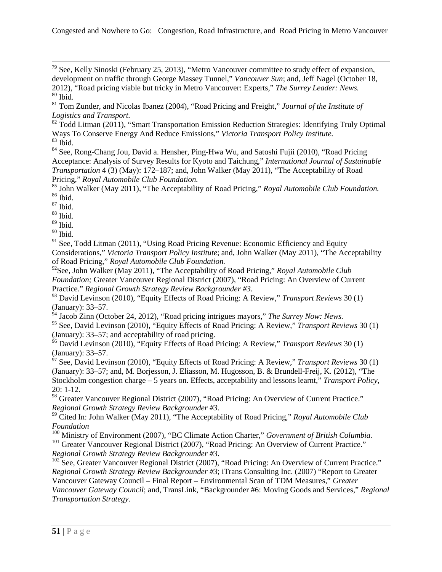$79$  See, Kelly Sinoski (February 25, 2013), "Metro Vancouver committee to study effect of expansion, development on traffic through George Massey Tunnel," *Vancouver Sun*; and, Jeff Nagel (October 18, 2012), "Road pricing viable but tricky in Metro Vancouver: Experts," *The Surrey Leader: News.*  $80$  Ibid.

<sup>81</sup> Tom Zunder, and Nicolas Ibanez (2004), "Road Pricing and Freight," *Journal of the Institute of Logistics and Transport.*

 $82$  Todd Litman (2011), "Smart Transportation Emission Reduction Strategies: Identifying Truly Optimal Ways To Conserve Energy And Reduce Emissions," *Victoria Transport Policy Institute.*  $83$  Ibid.

<sup>84</sup> See, Rong-Chang Jou, David a. Hensher, Ping-Hwa Wu, and Satoshi Fujii (2010), "Road Pricing Acceptance: Analysis of Survey Results for Kyoto and Taichung," *International Journal of Sustainable Transportation* 4 (3) (May): 172–187; and, John Walker (May 2011), "The Acceptability of Road Pricing," *Royal Automobile Club Foundation.*

<sup>85</sup> John Walker (May 2011), "The Acceptability of Road Pricing," *Royal Automobile Club Foundation.* <sup>86</sup> Ibid.

 $\,$  87 Ibid.

<sup>88</sup> Ibid.

 $89$  Ibid.

 $90$  Ibid.

 $91$  See, Todd Litman (2011), "Using Road Pricing Revenue: Economic Efficiency and Equity Considerations," *Victoria Transport Policy Institute*; and, John Walker (May 2011), "The Acceptability of Road Pricing," *Royal Automobile Club Foundation.*

92See, John Walker (May 2011), "The Acceptability of Road Pricing," *Royal Automobile Club Foundation;* Greater Vancouver Regional District (2007), "Road Pricing: An Overview of Current Practice." *Regional Growth Strategy Review Backgrounder #3.* 

<sup>93</sup> David Levinson (2010), "Equity Effects of Road Pricing: A Review," *Transport Reviews* 30 (1) (January): 33–57.

<sup>94</sup> Jacob Zinn (October 24, 2012), "Road pricing intrigues mayors," *The Surrey Now: News.*

<span id="page-56-1"></span><span id="page-56-0"></span><sup>95</sup> See, David Levinson (2010), "Equity Effects of Road Pricing: A Review," *Transport Reviews* 30 (1) (January): 33–57; and acceptability of road pricing.

<span id="page-56-2"></span><sup>96</sup> David Levinson (2010), "Equity Effects of Road Pricing: A Review," *Transport Reviews* 30 (1) (January): 33–57.

<sup>97</sup> See, David Levinson (2010), "Equity Effects of Road Pricing: A Review," *Transport Reviews* 30 (1) (January): 33–57; and, M. Borjesson, J. Eliasson, M. Hugosson, B. & Brundell-Freij, K. (2012), "The Stockholm congestion charge – 5 years on. Effects, acceptability and lessons learnt," *Transport Policy*, 20: 1-12.

<sup>98</sup> Greater Vancouver Regional District (2007), "Road Pricing: An Overview of Current Practice." *Regional Growth Strategy Review Backgrounder #3.*

<sup>99</sup> Cited In: John Walker (May 2011), "The Acceptability of Road Pricing," *Royal Automobile Club Foundation*<br><sup>100</sup> Ministry of Environment (2007), "BC Climate Action Charter," *Government of British Columbia.* 

<sup>101</sup> Greater Vancouver Regional District (2007), "Road Pricing: An Overview of Current Practice." *Regional Growth Strategy Review Backgrounder #3.*

<sup>102</sup> See, Greater Vancouver Regional District (2007), "Road Pricing: An Overview of Current Practice." *Regional Growth Strategy Review Backgrounder #3*; iTrans Consulting Inc. (2007) "Report to Greater Vancouver Gateway Council – Final Report – Environmental Scan of TDM Measures," *Greater Vancouver Gateway Council*; and, TransLink, "Backgrounder #6: Moving Goods and Services," *Regional Transportation Strategy.*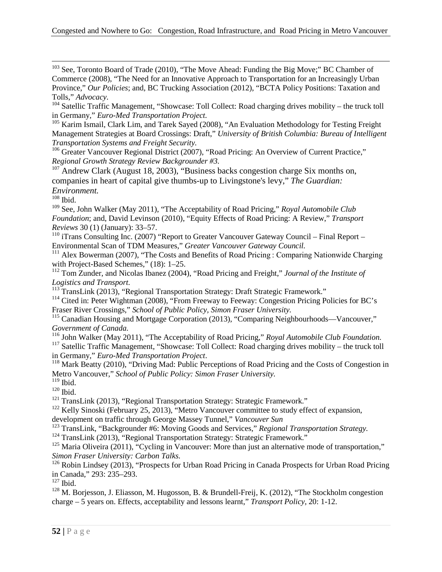<sup>103</sup> See, Toronto Board of Trade (2010), "The Move Ahead: Funding the Big Move;" BC Chamber of Commerce (2008), "The Need for an Innovative Approach to Transportation for an Increasingly Urban Province," *Our Policies*; and, BC Trucking Association (2012), "BCTA Policy Positions: Taxation and Tolls," *Advocacy.* 

<sup>104</sup> Satellic Traffic Management, "Showcase: Toll Collect: Road charging drives mobility – the truck toll in Germany," *Euro-Med Transportation Project.* 

<sup>105</sup> Karim Ismail, Clark Lim, and Tarek Sayed (2008), "An Evaluation Methodology for Testing Freight Management Strategies at Board Crossings: Draft," *University of British Columbia: Bureau of Intelligent Transportation Systems and Freight Security.*

<sup>106</sup> Greater Vancouver Regional District (2007), "Road Pricing: An Overview of Current Practice," *Regional Growth Strategy Review Backgrounder #3.*

 $107$  Andrew Clark (August 18, 2003), "Business backs congestion charge Six months on, companies in heart of capital give thumbs-up to Livingstone's levy," *The Guardian: Environment.*

 $108$  Ibid.

<sup>109</sup> See, John Walker (May 2011), "The Acceptability of Road Pricing," *Royal Automobile Club Foundation*; and, David Levinson (2010), "Equity Effects of Road Pricing: A Review," *Transport Reviews* 30 (1) (January): 33–57.

 $110$  iTrans Consulting Inc. (2007) "Report to Greater Vancouver Gateway Council – Final Report – Environmental Scan of TDM Measures," *Greater Vancouver Gateway Council.*

<sup>111</sup> Alex Bowerman (2007), "The Costs and Benefits of Road Pricing : Comparing Nationwide Charging with Project-Based Schemes," (18): 1-25.

<sup>112</sup> Tom Zunder, and Nicolas Ibanez (2004), "Road Pricing and Freight," *Journal of the Institute of Logistics and Transport.*

<sup>113</sup> TransLink (2013), "Regional Transportation Strategy: Draft Strategic Framework."

<sup>114</sup> Cited in: Peter Wightman (2008), "From Freeway to Feeway: Congestion Pricing Policies for BC's Fraser River Crossings," *School of Public Policy, Simon Fraser University.*

<sup>115</sup> Canadian Housing and Mortgage Corporation (2013), "Comparing Neighbourhoods—Vancouver," *Government of Canada.*

<sup>116</sup> John Walker (May 2011), "The Acceptability of Road Pricing," *Royal Automobile Club Foundation.*

<sup>117</sup> Satellic Traffic Management, "Showcase: Toll Collect: Road charging drives mobility – the truck toll in Germany," *Euro-Med Transportation Project*.

<span id="page-57-1"></span><span id="page-57-0"></span><sup>118</sup> Mark Beatty (2010), "Driving Mad: Public Perceptions of Road Pricing and the Costs of Congestion in Metro Vancouver," *School of Public Policy: Simon Fraser University.*

 $119$  Ibid.

<span id="page-57-2"></span> $^{120}$  Ibid.

<sup>121</sup> TransLink (2013), "Regional Transportation Strategy: Strategic Framework."

<span id="page-57-3"></span> $122$  Kelly Sinoski (February 25, 2013), "Metro Vancouver committee to study effect of expansion, development on traffic through George Massey Tunnel," *Vancouver Sun*

<span id="page-57-4"></span><sup>123</sup> TransLink, "Backgrounder #6: Moving Goods and Services," *Regional Transportation Strategy*.

<sup>124</sup> TransLink (2013), "Regional Transportation Strategy: Strategic Framework."

<span id="page-57-5"></span><sup>125</sup> Maria Oliveira (2011), "Cycling in Vancouver: More than just an alternative mode of transportation," *Simon Fraser University: Carbon Talks.*

<span id="page-57-7"></span><span id="page-57-6"></span><sup>126</sup> Robin Lindsey (2013), "Prospects for Urban Road Pricing in Canada Prospects for Urban Road Pricing in Canada," 293: 235–293.

 $127$  Ibid.

<sup>128</sup> M. Borjesson, J. Eliasson, M. Hugosson, B. & Brundell-Freij, K. (2012), "The Stockholm congestion charge – 5 years on. Effects, acceptability and lessons learnt," *Transport Policy*, 20: 1-12.